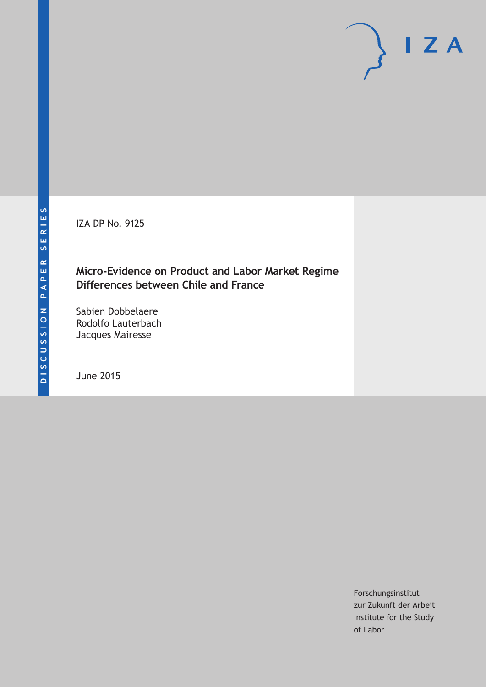IZA DP No. 9125

# **Micro-Evidence on Product and Labor Market Regime Differences between Chile and France**

Sabien Dobbelaere Rodolfo Lauterbach Jacques Mairesse

June 2015

Forschungsinstitut zur Zukunft der Arbeit Institute for the Study of Labor

 $I Z A$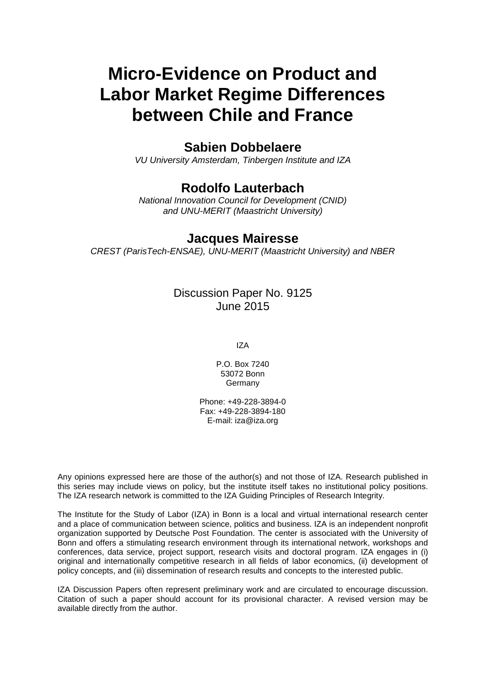# **Micro-Evidence on Product and Labor Market Regime Differences between Chile and France**

# **Sabien Dobbelaere**

*VU University Amsterdam, Tinbergen Institute and IZA*

# **Rodolfo Lauterbach**

*National Innovation Council for Development (CNID) and UNU-MERIT (Maastricht University)*

### **Jacques Mairesse**

*CREST (ParisTech-ENSAE), UNU-MERIT (Maastricht University) and NBER*

# Discussion Paper No. 9125 June 2015

IZA

P.O. Box 7240 53072 Bonn **Germany** 

Phone: +49-228-3894-0 Fax: +49-228-3894-180 E-mail: iza@iza.org

Any opinions expressed here are those of the author(s) and not those of IZA. Research published in this series may include views on policy, but the institute itself takes no institutional policy positions. The IZA research network is committed to the IZA Guiding Principles of Research Integrity.

The Institute for the Study of Labor (IZA) in Bonn is a local and virtual international research center and a place of communication between science, politics and business. IZA is an independent nonprofit organization supported by Deutsche Post Foundation. The center is associated with the University of Bonn and offers a stimulating research environment through its international network, workshops and conferences, data service, project support, research visits and doctoral program. IZA engages in (i) original and internationally competitive research in all fields of labor economics, (ii) development of policy concepts, and (iii) dissemination of research results and concepts to the interested public.

<span id="page-1-0"></span>IZA Discussion Papers often represent preliminary work and are circulated to encourage discussion. Citation of such a paper should account for its provisional character. A revised version may be available directly from the author.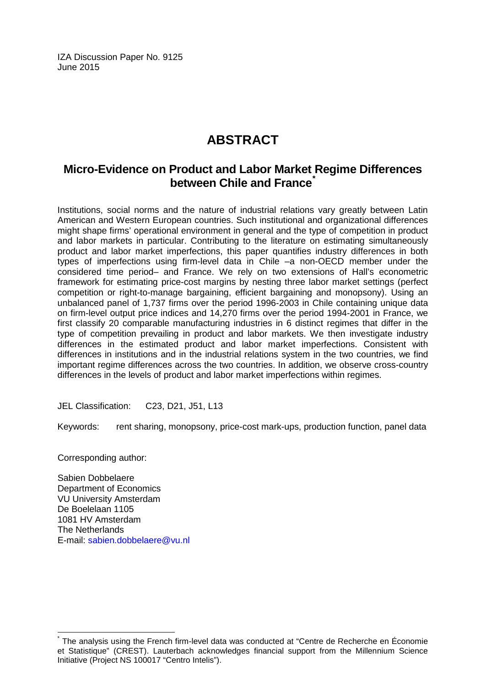IZA Discussion Paper No. 9125 June 2015

# **ABSTRACT**

### **Micro-Evidence on Product and Labor Market Regime Differences between Chile and France[\\*](#page-1-0)**

Institutions, social norms and the nature of industrial relations vary greatly between Latin American and Western European countries. Such institutional and organizational differences might shape firms' operational environment in general and the type of competition in product and labor markets in particular. Contributing to the literature on estimating simultaneously product and labor market imperfections, this paper quantifies industry differences in both types of imperfections using firm-level data in Chile –a non-OECD member under the considered time period– and France. We rely on two extensions of Hall's econometric framework for estimating price-cost margins by nesting three labor market settings (perfect competition or right-to-manage bargaining, efficient bargaining and monopsony). Using an unbalanced panel of 1,737 firms over the period 1996-2003 in Chile containing unique data on firm-level output price indices and 14,270 firms over the period 1994-2001 in France, we first classify 20 comparable manufacturing industries in 6 distinct regimes that differ in the type of competition prevailing in product and labor markets. We then investigate industry differences in the estimated product and labor market imperfections. Consistent with differences in institutions and in the industrial relations system in the two countries, we find important regime differences across the two countries. In addition, we observe cross-country differences in the levels of product and labor market imperfections within regimes.

JEL Classification: C23, D21, J51, L13

Keywords: rent sharing, monopsony, price-cost mark-ups, production function, panel data

Corresponding author:

Sabien Dobbelaere Department of Economics VU University Amsterdam De Boelelaan 1105 1081 HV Amsterdam The Netherlands E-mail: [sabien.dobbelaere@vu.nl](mailto:sabien.dobbelaere@vu.nl)

The analysis using the French firm-level data was conducted at "Centre de Recherche en Économie et Statistique" (CREST). Lauterbach acknowledges financial support from the Millennium Science Initiative (Project NS 100017 "Centro Intelis").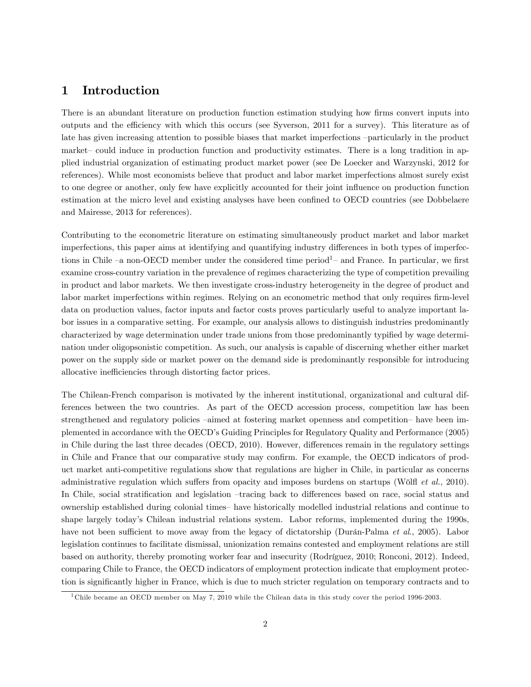### 1 Introduction

There is an abundant literature on production function estimation studying how firms convert inputs into outputs and the efficiency with which this occurs (see Syverson, 2011 for a survey). This literature as of late has given increasing attention to possible biases that market imperfections  $-particle$  in the product market–could induce in production function and productivity estimates. There is a long tradition in applied industrial organization of estimating product market power (see De Loecker and Warzynski, 2012 for references). While most economists believe that product and labor market imperfections almost surely exist to one degree or another, only few have explicitly accounted for their joint ináuence on production function estimation at the micro level and existing analyses have been confined to OECD countries (see Dobbelaere and Mairesse, 2013 for references).

Contributing to the econometric literature on estimating simultaneously product market and labor market imperfections, this paper aims at identifying and quantifying industry differences in both types of imperfections in Chile  $-a$  non-OECD member under the considered time period<sup>1</sup> and France. In particular, we first examine cross-country variation in the prevalence of regimes characterizing the type of competition prevailing in product and labor markets. We then investigate cross-industry heterogeneity in the degree of product and labor market imperfections within regimes. Relying on an econometric method that only requires firm-level data on production values, factor inputs and factor costs proves particularly useful to analyze important labor issues in a comparative setting. For example, our analysis allows to distinguish industries predominantly characterized by wage determination under trade unions from those predominantly typified by wage determination under oligopsonistic competition. As such, our analysis is capable of discerning whether either market power on the supply side or market power on the demand side is predominantly responsible for introducing allocative inefficiencies through distorting factor prices.

The Chilean-French comparison is motivated by the inherent institutional, organizational and cultural differences between the two countries. As part of the OECD accession process, competition law has been strengthened and regulatory policies -aimed at fostering market openness and competition– have been implemented in accordance with the OECDís Guiding Principles for Regulatory Quality and Performance (2005) in Chile during the last three decades (OECD, 2010). However, differences remain in the regulatory settings in Chile and France that our comparative study may confirm. For example, the OECD indicators of product market anti-competitive regulations show that regulations are higher in Chile, in particular as concerns administrative regulation which suffers from opacity and imposes burdens on startups (Wölfl et al., 2010). In Chile, social stratification and legislation  $-$ tracing back to differences based on race, social status and ownership established during colonial times—have historically modelled industrial relations and continue to shape largely todayís Chilean industrial relations system. Labor reforms, implemented during the 1990s, have not been sufficient to move away from the legacy of dictatorship (Durán-Palma et al., 2005). Labor legislation continues to facilitate dismissal, unionization remains contested and employment relations are still based on authority, thereby promoting worker fear and insecurity (Rodríguez, 2010; Ronconi, 2012). Indeed, comparing Chile to France, the OECD indicators of employment protection indicate that employment protection is significantly higher in France, which is due to much stricter regulation on temporary contracts and to

<sup>&</sup>lt;sup>1</sup> Chile became an OECD member on May 7, 2010 while the Chilean data in this study cover the period 1996-2003.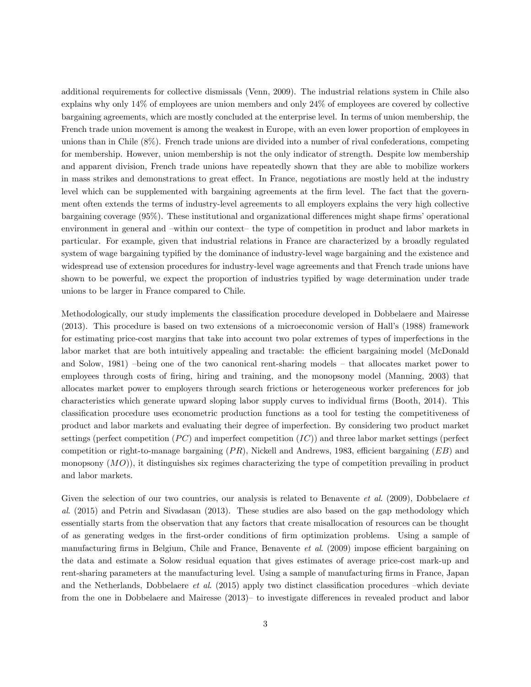additional requirements for collective dismissals (Venn, 2009). The industrial relations system in Chile also explains why only 14% of employees are union members and only 24% of employees are covered by collective bargaining agreements, which are mostly concluded at the enterprise level. In terms of union membership, the French trade union movement is among the weakest in Europe, with an even lower proportion of employees in unions than in Chile (8%). French trade unions are divided into a number of rival confederations, competing for membership. However, union membership is not the only indicator of strength. Despite low membership and apparent division, French trade unions have repeatedly shown that they are able to mobilize workers in mass strikes and demonstrations to great effect. In France, negotiations are mostly held at the industry level which can be supplemented with bargaining agreements at the firm level. The fact that the government often extends the terms of industry-level agreements to all employers explains the very high collective bargaining coverage (95%). These institutional and organizational differences might shape firms' operational environment in general and -within our context- the type of competition in product and labor markets in particular. For example, given that industrial relations in France are characterized by a broadly regulated system of wage bargaining typified by the dominance of industry-level wage bargaining and the existence and widespread use of extension procedures for industry-level wage agreements and that French trade unions have shown to be powerful, we expect the proportion of industries typified by wage determination under trade unions to be larger in France compared to Chile.

Methodologically, our study implements the classification procedure developed in Dobbelaere and Mairesse (2013). This procedure is based on two extensions of a microeconomic version of Hallís (1988) framework for estimating price-cost margins that take into account two polar extremes of types of imperfections in the labor market that are both intuitively appealing and tractable: the efficient bargaining model (McDonald and Solow, 1981) –being one of the two canonical rent-sharing models  $-$  that allocates market power to employees through costs of firing, hiring and training, and the monopsony model (Manning, 2003) that allocates market power to employers through search frictions or heterogeneous worker preferences for job characteristics which generate upward sloping labor supply curves to individual firms (Booth, 2014). This classification procedure uses econometric production functions as a tool for testing the competitiveness of product and labor markets and evaluating their degree of imperfection. By considering two product market settings (perfect competition  $(PC)$  and imperfect competition  $(IC)$ ) and three labor market settings (perfect competition or right-to-manage bargaining  $(PR)$ , Nickell and Andrews, 1983, efficient bargaining  $(EB)$  and monopsony  $(MO)$ , it distinguishes six regimes characterizing the type of competition prevailing in product and labor markets.

Given the selection of our two countries, our analysis is related to Benavente *et al.* (2009), Dobbelaere *et* al. (2015) and Petrin and Sivadasan (2013). These studies are also based on the gap methodology which essentially starts from the observation that any factors that create misallocation of resources can be thought of as generating wedges in the Örst-order conditions of Örm optimization problems. Using a sample of manufacturing firms in Belgium, Chile and France, Benavente et al. (2009) impose efficient bargaining on the data and estimate a Solow residual equation that gives estimates of average price-cost mark-up and rent-sharing parameters at the manufacturing level. Using a sample of manufacturing firms in France, Japan and the Netherlands, Dobbelaere et al.  $(2015)$  apply two distinct classification procedures –which deviate from the one in Dobbelaere and Mairesse  $(2013)$  to investigate differences in revealed product and labor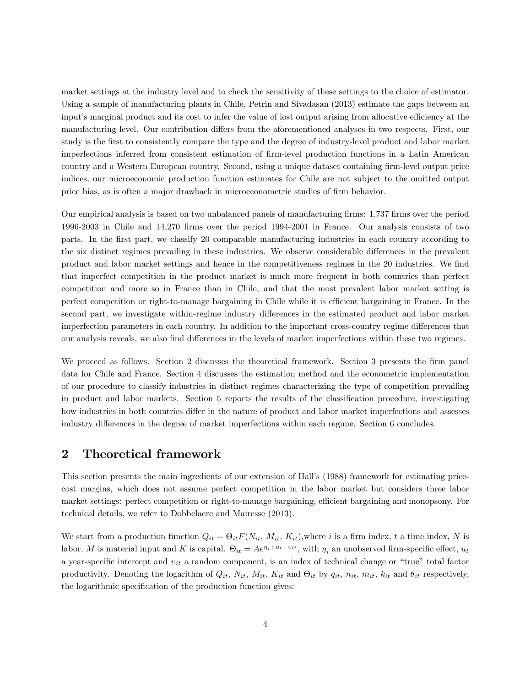market settings at the industry level and to check the sensitivity of these settings to the choice of estimator. Using a sample of manufacturing plants in Chile, Petrin and Sivadasan (2013) estimate the gaps between an input's marginal product and its cost to infer the value of lost output arising from allocative efficiency at the manufacturing level. Our contribution differs from the aforementioned analyses in two respects. First, our study is the first to consistently compare the type and the degree of industry-level product and labor market imperfections inferred from consistent estimation of Örm-level production functions in a Latin American country and a Western European country. Second, using a unique dataset containing firm-level output price indices, our microeconomic production function estimates for Chile are not subject to the omitted output price bias, as is often a major drawback in microeconometric studies of firm behavior.

Our empirical analysis is based on two unbalanced panels of manufacturing firms: 1,737 firms over the period 1996-2003 in Chile and 14,270 Örms over the period 1994-2001 in France. Our analysis consists of two parts. In the Örst part, we classify 20 comparable manufacturing industries in each country according to the six distinct regimes prevailing in these industries. We observe considerable differences in the prevalent product and labor market settings and hence in the competitiveness regimes in the 20 industries. We find that imperfect competition in the product market is much more frequent in both countries than perfect competition and more so in France than in Chile, and that the most prevalent labor market setting is perfect competition or right-to-manage bargaining in Chile while it is efficient bargaining in France. In the second part, we investigate within-regime industry differences in the estimated product and labor market imperfection parameters in each country. In addition to the important cross-country regime differences that our analysis reveals, we also find differences in the levels of market imperfections within these two regimes.

We proceed as follows. Section 2 discusses the theoretical framework. Section 3 presents the firm panel data for Chile and France. Section 4 discusses the estimation method and the econometric implementation of our procedure to classify industries in distinct regimes characterizing the type of competition prevailing in product and labor markets. Section 5 reports the results of the classification procedure, investigating how industries in both countries differ in the nature of product and labor market imperfections and assesses industry differences in the degree of market imperfections within each regime. Section 6 concludes.

### 2 Theoretical framework

This section presents the main ingredients of our extension of Hallís (1988) framework for estimating pricecost margins, which does not assume perfect competition in the labor market but considers three labor market settings: perfect competition or right-to-manage bargaining, efficient bargaining and monopsony. For technical details, we refer to Dobbelaere and Mairesse (2013).

We start from a production function  $Q_{it} = \Theta_{it} F(N_{it}, M_{it}, K_{it})$ , where i is a firm index, t a time index, N is labor, M is material input and K is capital.  $\Theta_{it} = Ae^{\eta_i+u_t+v_{it}}$ , with  $\eta_i$  an unobserved firm-specific effect,  $u_t$ a year-specific intercept and  $v_{it}$  a random component, is an index of technical change or "true" total factor productivity. Denoting the logarithm of  $Q_{it}$ ,  $N_{it}$ ,  $M_{it}$ ,  $K_{it}$  and  $\Theta_{it}$  by  $q_{it}$ ,  $n_{it}$ ,  $m_{it}$ ,  $k_{it}$  and  $\theta_{it}$  respectively, the logarithmic specification of the production function gives: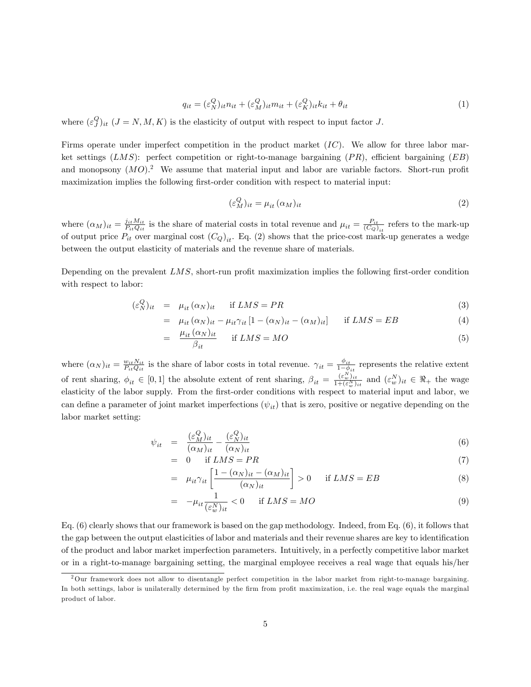$$
q_{it} = (\varepsilon_N^Q)_{it} n_{it} + (\varepsilon_N^Q)_{it} m_{it} + (\varepsilon_N^Q)_{it} k_{it} + \theta_{it}
$$
\n
$$
\tag{1}
$$

where  $(\varepsilon_j^Q)_{it}$   $(J = N, M, K)$  is the elasticity of output with respect to input factor J.

Firms operate under imperfect competition in the product market  $(IC)$ . We allow for three labor market settings  $(LMS)$ : perfect competition or right-to-manage bargaining  $(PR)$ , efficient bargaining  $(EB)$ and monopsony  $(MO)^2$ . We assume that material input and labor are variable factors. Short-run profit maximization implies the following first-order condition with respect to material input:

$$
(\varepsilon_M^Q)_{it} = \mu_{it} \, (\alpha_M)_{it} \tag{2}
$$

where  $(\alpha_M)_{it} = \frac{j_{it}M_{it}}{P_{it}Q_{it}}$  is the share of material costs in total revenue and  $\mu_{it} = \frac{P_{it}}{(C_Q)_{it}}$  refers to the mark-up of output price  $P_{it}$  over marginal cost  $(C_Q)_{it}$ . Eq. (2) shows that the price-cost mark-up generates a wedge between the output elasticity of materials and the revenue share of materials.

Depending on the prevalent  $LMS$ , short-run profit maximization implies the following first-order condition with respect to labor:

$$
(\varepsilon_N^Q)_{it} = \mu_{it} (\alpha_N)_{it} \quad \text{if } LMS = PR \tag{3}
$$

$$
= \mu_{it} (\alpha_N)_{it} - \mu_{it} \gamma_{it} [1 - (\alpha_N)_{it} - (\alpha_M)_{it}] \quad \text{if } LMS = EB
$$
 (4)

$$
= \frac{\mu_{it}(\alpha_N)_{it}}{\beta_{it}} \quad \text{if } LMS = MO \tag{5}
$$

where  $(\alpha_N)_{it} = \frac{w_{it} N_{it}}{P_{it} Q_{it}}$  is the share of labor costs in total revenue.  $\gamma_{it} = \frac{\phi_{it}}{1-\phi}$  $rac{\varphi_{it}}{1-\varphi_{it}}$  represents the relative extent of rent sharing,  $\phi_{it} \in [0,1]$  the absolute extent of rent sharing,  $\beta_{it} = \frac{(\varepsilon_w^N)i}{1+(\varepsilon_w^N)}$  $\frac{(\varepsilon_w^N)_{it}}{1+(\varepsilon_w^N)_{it}}$  and  $(\varepsilon_w^N)_{it} \in \Re_+$  the wage elasticity of the labor supply. From the first-order conditions with respect to material input and labor, we can define a parameter of joint market imperfections  $(\psi_{it})$  that is zero, positive or negative depending on the labor market setting:

$$
\psi_{it} = \frac{(\varepsilon_M^Q)_{it}}{(\alpha_M)_{it}} - \frac{(\varepsilon_N^Q)_{it}}{(\alpha_N)_{it}} \tag{6}
$$

$$
= 0 \quad \text{if } LMS = PR \tag{7}
$$

$$
= \mu_{it}\gamma_{it}\left[\frac{1 - (\alpha_N)_{it} - (\alpha_M)_{it}}{(\alpha_N)_{it}}\right] > 0 \quad \text{if } LMS = EB
$$
\n(8)

$$
= -\mu_{it} \frac{1}{(\varepsilon_w^N)_{it}} < 0 \quad \text{if } LMS = MO \tag{9}
$$

Eq. (6) clearly shows that our framework is based on the gap methodology. Indeed, from Eq. (6), it follows that the gap between the output elasticities of labor and materials and their revenue shares are key to identification of the product and labor market imperfection parameters. Intuitively, in a perfectly competitive labor market or in a right-to-manage bargaining setting, the marginal employee receives a real wage that equals his/her

<sup>&</sup>lt;sup>2</sup>Our framework does not allow to disentangle perfect competition in the labor market from right-to-manage bargaining. In both settings, labor is unilaterally determined by the firm from profit maximization, i.e. the real wage equals the marginal product of labor.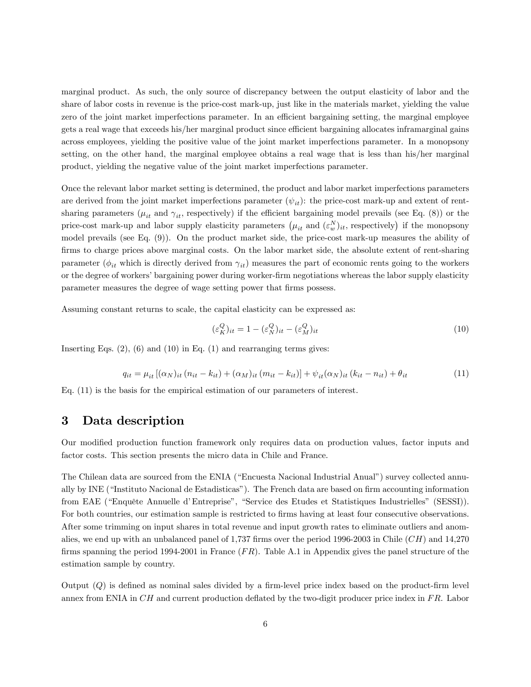marginal product. As such, the only source of discrepancy between the output elasticity of labor and the share of labor costs in revenue is the price-cost mark-up, just like in the materials market, yielding the value zero of the joint market imperfections parameter. In an efficient bargaining setting, the marginal employee gets a real wage that exceeds his/her marginal product since efficient bargaining allocates inframarginal gains across employees, yielding the positive value of the joint market imperfections parameter. In a monopsony setting, on the other hand, the marginal employee obtains a real wage that is less than his/her marginal product, yielding the negative value of the joint market imperfections parameter.

Once the relevant labor market setting is determined, the product and labor market imperfections parameters are derived from the joint market imperfections parameter  $(\psi_{it})$ : the price-cost mark-up and extent of rentsharing parameters ( $\mu_{it}$  and  $\gamma_{it}$ , respectively) if the efficient bargaining model prevails (see Eq. (8)) or the price-cost mark-up and labor supply elasticity parameters  $(\mu_{it} \text{ and } (\varepsilon_w^N)_{it}$ , respectively) if the monopsony model prevails (see Eq. (9)). On the product market side, the price-cost mark-up measures the ability of firms to charge prices above marginal costs. On the labor market side, the absolute extent of rent-sharing parameter ( $\phi_{it}$  which is directly derived from  $\gamma_{it}$ ) measures the part of economic rents going to the workers or the degree of workersíbargaining power during worker-Örm negotiations whereas the labor supply elasticity parameter measures the degree of wage setting power that firms possess.

Assuming constant returns to scale, the capital elasticity can be expressed as:

$$
(\varepsilon_K^Q)_{it} = 1 - (\varepsilon_N^Q)_{it} - (\varepsilon_M^Q)_{it}
$$
\n
$$
(10)
$$

Inserting Eqs.  $(2)$ ,  $(6)$  and  $(10)$  in Eq.  $(1)$  and rearranging terms gives:

$$
q_{it} = \mu_{it} \left[ (\alpha_N)_{it} \left( n_{it} - k_{it} \right) + (\alpha_M)_{it} \left( m_{it} - k_{it} \right) \right] + \psi_{it} (\alpha_N)_{it} \left( k_{it} - n_{it} \right) + \theta_{it} \tag{11}
$$

Eq. (11) is the basis for the empirical estimation of our parameters of interest.

#### 3 Data description

Our modified production function framework only requires data on production values, factor inputs and factor costs. This section presents the micro data in Chile and France.

The Chilean data are sourced from the ENIA ("Encuesta Nacional Industrial Anual") survey collected annually by INE ("Instituto Nacional de Estadisticas"). The French data are based on firm accounting information from EAE ("Enquête Annuelle d'Entreprise", "Service des Etudes et Statistiques Industrielles" (SESSI)). For both countries, our estimation sample is restricted to firms having at least four consecutive observations. After some trimming on input shares in total revenue and input growth rates to eliminate outliers and anomalies, we end up with an unbalanced panel of 1,737 firms over the period 1996-2003 in Chile  $(CH)$  and 14,270 firms spanning the period 1994-2001 in France  $(FR)$ . Table A.1 in Appendix gives the panel structure of the estimation sample by country.

Output  $(Q)$  is defined as nominal sales divided by a firm-level price index based on the product-firm level annex from ENIA in  $CH$  and current production deflated by the two-digit producer price index in  $FR$ . Labor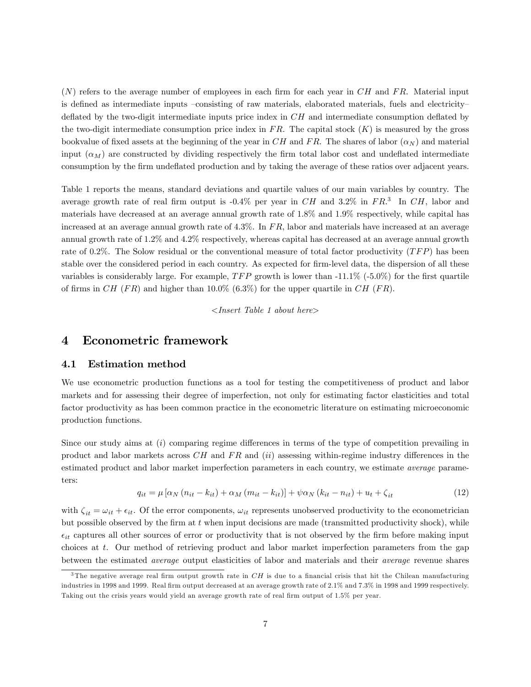$(N)$  refers to the average number of employees in each firm for each year in CH and FR. Material input is defined as intermediate inputs -consisting of raw materials, elaborated materials, fuels and electricitydeflated by the two-digit intermediate inputs price index in  $CH$  and intermediate consumption deflated by the two-digit intermediate consumption price index in  $FR$ . The capital stock  $(K)$  is measured by the gross bookvalue of fixed assets at the beginning of the year in CH and FR. The shares of labor  $(\alpha_N)$  and material input  $(\alpha_M)$  are constructed by dividing respectively the firm total labor cost and undeflated intermediate consumption by the firm undeflated production and by taking the average of these ratios over adjacent years.

Table 1 reports the means, standard deviations and quartile values of our main variables by country. The average growth rate of real firm output is  $-0.4\%$  per year in CH and 3.2% in FR.<sup>3</sup> In CH, labor and materials have decreased at an average annual growth rate of 1.8% and 1.9% respectively, while capital has increased at an average annual growth rate of  $4.3\%$ . In FR, labor and materials have increased at an average annual growth rate of 1.2% and 4.2% respectively, whereas capital has decreased at an average annual growth rate of 0.2%. The Solow residual or the conventional measure of total factor productivity  $(TFP)$  has been stable over the considered period in each country. As expected for firm-level data, the dispersion of all these variables is considerably large. For example,  $TFP$  growth is lower than  $-11.1\%$  ( $-5.0\%$ ) for the first quartile of firms in CH (FR) and higher than 10.0% (6.3%) for the upper quartile in CH (FR).

<Insert Table 1 about here>

#### 4 Econometric framework

#### 4.1 Estimation method

We use econometric production functions as a tool for testing the competitiveness of product and labor markets and for assessing their degree of imperfection, not only for estimating factor elasticities and total factor productivity as has been common practice in the econometric literature on estimating microeconomic production functions.

Since our study aims at  $(i)$  comparing regime differences in terms of the type of competition prevailing in product and labor markets across  $CH$  and  $FR$  and  $(ii)$  assessing within-regime industry differences in the estimated product and labor market imperfection parameters in each country, we estimate average parameters:

$$
q_{it} = \mu \left[ \alpha_N \left( n_{it} - k_{it} \right) + \alpha_M \left( m_{it} - k_{it} \right) \right] + \psi \alpha_N \left( k_{it} - n_{it} \right) + u_t + \zeta_{it} \tag{12}
$$

with  $\zeta_{it} = \omega_{it} + \epsilon_{it}$ . Of the error components,  $\omega_{it}$  represents unobserved productivity to the econometrician but possible observed by the firm at  $t$  when input decisions are made (transmitted productivity shock), while  $\epsilon_{it}$  captures all other sources of error or productivity that is not observed by the firm before making input choices at t. Our method of retrieving product and labor market imperfection parameters from the gap between the estimated average output elasticities of labor and materials and their average revenue shares

 $3$ The negative average real firm output growth rate in  $CH$  is due to a financial crisis that hit the Chilean manufacturing industries in 1998 and 1999. Real Örm output decreased at an average growth rate of 2.1% and 7.3% in 1998 and 1999 respectively. Taking out the crisis years would yield an average growth rate of real firm output of 1.5% per year.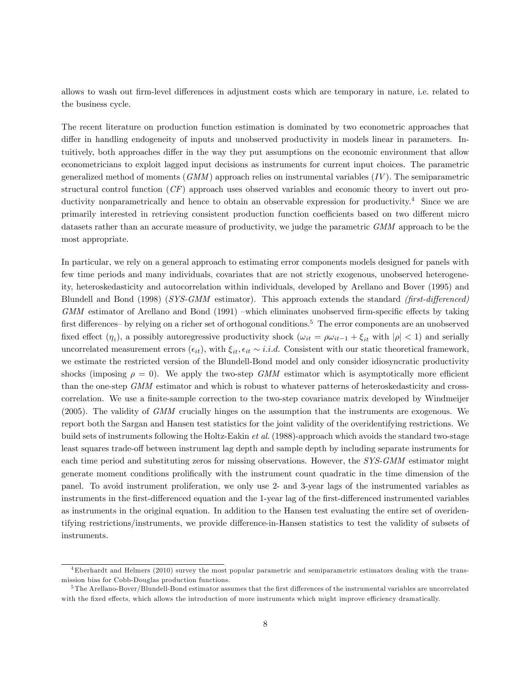allows to wash out firm-level differences in adjustment costs which are temporary in nature, i.e. related to the business cycle.

The recent literature on production function estimation is dominated by two econometric approaches that differ in handling endogeneity of inputs and unobserved productivity in models linear in parameters. Intuitively, both approaches differ in the way they put assumptions on the economic environment that allow econometricians to exploit lagged input decisions as instruments for current input choices. The parametric generalized method of moments  $(GMM)$  approach relies on instrumental variables  $(IV)$ . The semiparametric structural control function (CF) approach uses observed variables and economic theory to invert out productivity nonparametrically and hence to obtain an observable expression for productivity.<sup>4</sup> Since we are primarily interested in retrieving consistent production function coefficients based on two different micro datasets rather than an accurate measure of productivity, we judge the parametric GMM approach to be the most appropriate.

In particular, we rely on a general approach to estimating error components models designed for panels with few time periods and many individuals, covariates that are not strictly exogenous, unobserved heterogeneity, heteroskedasticity and autocorrelation within individuals, developed by Arellano and Bover (1995) and Blundell and Bond (1998) (SYS-GMM estimator). This approach extends the standard (first-differenced)  $GMM$  estimator of Arellano and Bond (1991) –which eliminates unobserved firm-specific effects by taking first differences– by relying on a richer set of orthogonal conditions.<sup>5</sup> The error components are an unobserved fixed effect  $(\eta_i)$ , a possibly autoregressive productivity shock  $(\omega_{it} = \rho \omega_{it-1} + \xi_{it} \text{ with } |\rho| < 1)$  and serially uncorrelated measurement errors  $(\epsilon_{it})$ , with  $\xi_{it}, \epsilon_{it} \sim i.i.d$ . Consistent with our static theoretical framework, we estimate the restricted version of the Blundell-Bond model and only consider idiosyncratic productivity shocks (imposing  $\rho = 0$ ). We apply the two-step GMM estimator which is asymptotically more efficient than the one-step GMM estimator and which is robust to whatever patterns of heteroskedasticity and crosscorrelation. We use a finite-sample correction to the two-step covariance matrix developed by Windmeijer (2005). The validity of GMM crucially hinges on the assumption that the instruments are exogenous. We report both the Sargan and Hansen test statistics for the joint validity of the overidentifying restrictions. We build sets of instruments following the Holtz-Eakin et al. (1988)-approach which avoids the standard two-stage least squares trade-off between instrument lag depth and sample depth by including separate instruments for each time period and substituting zeros for missing observations. However, the SYS-GMM estimator might generate moment conditions prolifically with the instrument count quadratic in the time dimension of the panel. To avoid instrument proliferation, we only use 2- and 3-year lags of the instrumented variables as instruments in the first-differenced equation and the 1-year lag of the first-differenced instrumented variables as instruments in the original equation. In addition to the Hansen test evaluating the entire set of overidentifying restrictions/instruments, we provide difference-in-Hansen statistics to test the validity of subsets of instruments.

<sup>4</sup>Eberhardt and Helmers (2010) survey the most popular parametric and semiparametric estimators dealing with the transmission bias for Cobb-Douglas production functions.

 $5$ The Arellano-Bover/Blundell-Bond estimator assumes that the first differences of the instrumental variables are uncorrelated with the fixed effects, which allows the introduction of more instruments which might improve efficiency dramatically.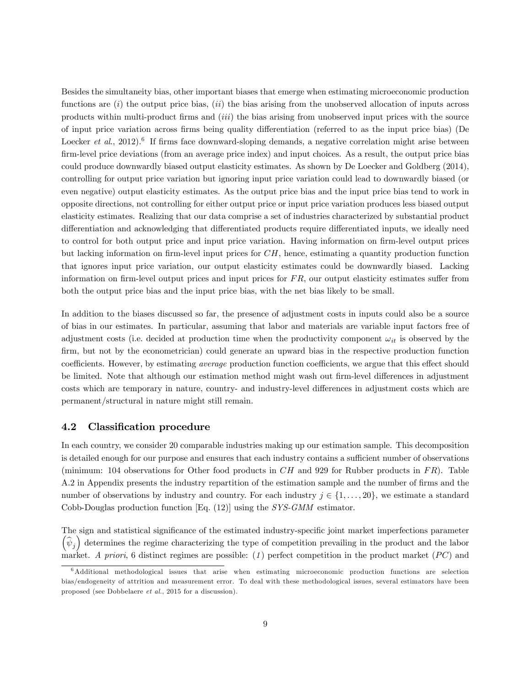Besides the simultaneity bias, other important biases that emerge when estimating microeconomic production functions are  $(i)$  the output price bias,  $(ii)$  the bias arising from the unobserved allocation of inputs across products within multi-product firms and *(iii)* the bias arising from unobserved input prices with the source of input price variation across firms being quality differentiation (referred to as the input price bias) (De Loecker *et al.*, 2012).<sup>6</sup> If firms face downward-sloping demands, a negative correlation might arise between firm-level price deviations (from an average price index) and input choices. As a result, the output price bias could produce downwardly biased output elasticity estimates. As shown by De Loecker and Goldberg (2014), controlling for output price variation but ignoring input price variation could lead to downwardly biased (or even negative) output elasticity estimates. As the output price bias and the input price bias tend to work in opposite directions, not controlling for either output price or input price variation produces less biased output elasticity estimates. Realizing that our data comprise a set of industries characterized by substantial product differentiation and acknowledging that differentiated products require differentiated inputs, we ideally need to control for both output price and input price variation. Having information on firm-level output prices but lacking information on firm-level input prices for  $CH$ , hence, estimating a quantity production function that ignores input price variation, our output elasticity estimates could be downwardly biased. Lacking information on firm-level output prices and input prices for  $FR$ , our output elasticity estimates suffer from both the output price bias and the input price bias, with the net bias likely to be small.

In addition to the biases discussed so far, the presence of adjustment costs in inputs could also be a source of bias in our estimates. In particular, assuming that labor and materials are variable input factors free of adjustment costs (i.e. decided at production time when the productivity component  $\omega_{it}$  is observed by the firm, but not by the econometrician) could generate an upward bias in the respective production function coefficients. However, by estimating *average* production function coefficients, we argue that this effect should be limited. Note that although our estimation method might wash out firm-level differences in adjustment costs which are temporary in nature, country- and industry-level differences in adjustment costs which are permanent/structural in nature might still remain.

#### 4.2 Classification procedure

In each country, we consider 20 comparable industries making up our estimation sample. This decomposition is detailed enough for our purpose and ensures that each industry contains a sufficient number of observations (minimum: 104 observations for Other food products in  $CH$  and 929 for Rubber products in  $FR$ ). Table A.2 in Appendix presents the industry repartition of the estimation sample and the number of firms and the number of observations by industry and country. For each industry  $j \in \{1, \ldots, 20\}$ , we estimate a standard Cobb-Douglas production function [Eq. (12)] using the SYS-GMM estimator.

The sign and statistical significance of the estimated industry-specific joint market imperfections parameter  $(\hat{\psi}_j)$  determines the regime characterizing the type of competition prevailing in the product and the labor market. A priori, 6 distinct regimes are possible:  $(1)$  perfect competition in the product market  $(PC)$  and

<sup>6</sup>Additional methodological issues that arise when estimating microeconomic production functions are selection bias/endogeneity of attrition and measurement error. To deal with these methodological issues, several estimators have been proposed (see Dobbelaere et al., 2015 for a discussion).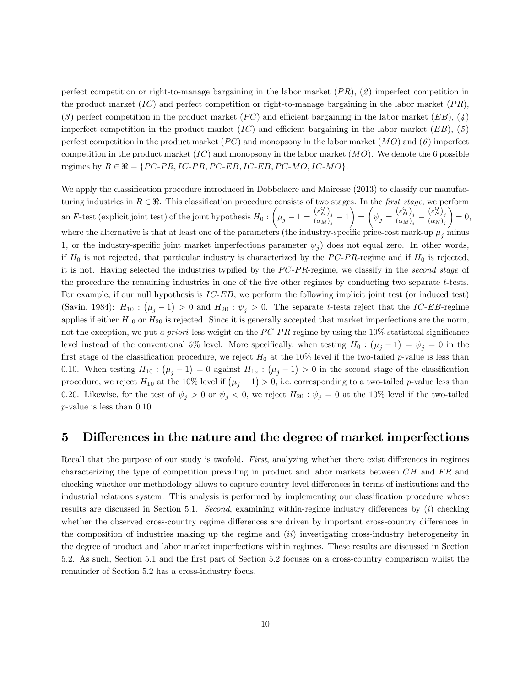perfect competition or right-to-manage bargaining in the labor market  $(PR)$ ,  $(2)$  imperfect competition in the product market  $(IC)$  and perfect competition or right-to-manage bargaining in the labor market  $(PR)$ , (3) perfect competition in the product market  $(PC)$  and efficient bargaining in the labor market  $(EB)$ ,  $(4)$ imperfect competition in the product market  $(IC)$  and efficient bargaining in the labor market  $(EB)$ ,  $(5)$ perfect competition in the product market  $(PC)$  and monopsony in the labor market  $(MO)$  and  $(6)$  imperfect competition in the product market  $(IC)$  and monopsony in the labor market  $(MO)$ . We denote the 6 possible regimes by  $R \in \mathcal{R} = \{PC-PR, IC-PR, PC-EB, IC-EB, PC-MO, IC-MO\}.$ 

We apply the classification procedure introduced in Dobbelaere and Mairesse (2013) to classify our manufacturing industries in  $R \in \mathbb{R}$ . This classification procedure consists of two stages. In the *first stage*, we perform an  $F$ -test (explicit joint test) of the joint hypothesis  $H_0$ :  $\sqrt{ }$  $\mu_j - 1 = \frac{\left(\varepsilon_M^Q\right)_j}{\left(\alpha_M\right)_j} - 1$  $\overline{\phantom{0}}$ =  $\sqrt{2}$  $\psi_j = \frac{\left(\varepsilon_M^Q\right)_j}{\left(\alpha_M\right)_j}$  –  $\frac{\left(\varepsilon_{N}^{Q}\right)_{j}}{\left(\alpha_{N}\right)_{j}}$  $\overline{\phantom{0}}$  $= 0,$ where the alternative is that at least one of the parameters (the industry-specific price-cost mark-up  $\mu_i$  minus 1, or the industry-specific joint market imperfections parameter  $\psi_j$  does not equal zero. In other words, if  $H_0$  is not rejected, that particular industry is characterized by the PC-PR-regime and if  $H_0$  is rejected, it is not. Having selected the industries typified by the  $PC-PR$ -regime, we classify in the second stage of the procedure the remaining industries in one of the five other regimes by conducting two separate t-tests. For example, if our null hypothesis is IC-EB, we perform the following implicit joint test (or induced test) (Savin, 1984):  $H_{10}$ :  $(\mu_j - 1) > 0$  and  $H_{20}$ :  $\psi_j > 0$ . The separate t-tests reject that the IC-EB-regime applies if either  $H_{10}$  or  $H_{20}$  is rejected. Since it is generally accepted that market imperfections are the norm, not the exception, we put a priori less weight on the  $PC$ - $PR$ -regime by using the 10% statistical significance level instead of the conventional 5% level. More specifically, when testing  $H_0: (\mu_j - 1) = \psi_j = 0$  in the first stage of the classification procedure, we reject  $H_0$  at the 10% level if the two-tailed p-value is less than 0.10. When testing  $H_{10}$ :  $(\mu_j - 1) = 0$  against  $H_{1a}$ :  $(\mu_j - 1) > 0$  in the second stage of the classification procedure, we reject  $H_{10}$  at the 10% level if  $(\mu_j - 1) > 0$ , i.e. corresponding to a two-tailed p-value less than 0.20. Likewise, for the test of  $\psi_j > 0$  or  $\psi_j < 0$ , we reject  $H_{20}$ :  $\psi_j = 0$  at the 10% level if the two-tailed p-value is less than 0.10.

#### 5 Differences in the nature and the degree of market imperfections

Recall that the purpose of our study is twofold. First, analyzing whether there exist differences in regimes characterizing the type of competition prevailing in product and labor markets between  $CH$  and  $FR$  and checking whether our methodology allows to capture country-level differences in terms of institutions and the industrial relations system. This analysis is performed by implementing our classification procedure whose results are discussed in Section 5.1. Second, examining within-regime industry differences by  $(i)$  checking whether the observed cross-country regime differences are driven by important cross-country differences in the composition of industries making up the regime and  $(ii)$  investigating cross-industry heterogeneity in the degree of product and labor market imperfections within regimes. These results are discussed in Section 5.2. As such, Section 5.1 and the first part of Section 5.2 focuses on a cross-country comparison whilst the remainder of Section 5.2 has a cross-industry focus.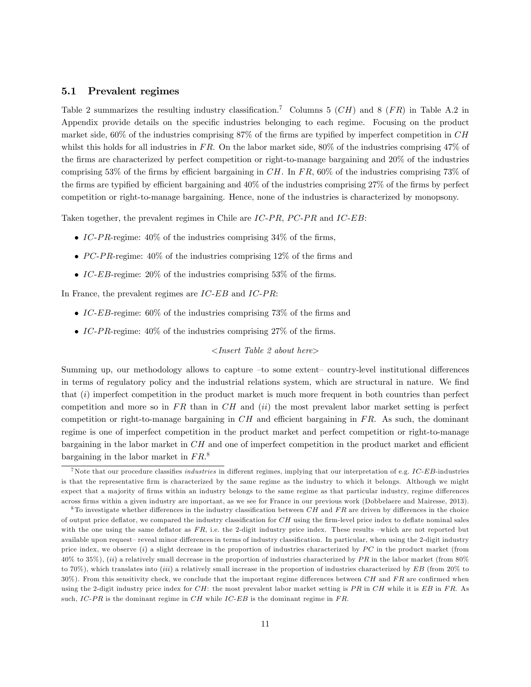#### 5.1 Prevalent regimes

Table 2 summarizes the resulting industry classification.<sup>7</sup> Columns 5 (CH) and 8 (FR) in Table A.2 in Appendix provide details on the specific industries belonging to each regime. Focusing on the product market side,  $60\%$  of the industries comprising 87% of the firms are typified by imperfect competition in CH whilst this holds for all industries in  $FR$ . On the labor market side, 80% of the industries comprising 47% of the Örms are characterized by perfect competition or right-to-manage bargaining and 20% of the industries comprising 53% of the firms by efficient bargaining in  $CH$ . In FR, 60% of the industries comprising 73% of the firms are typified by efficient bargaining and  $40\%$  of the industries comprising  $27\%$  of the firms by perfect competition or right-to-manage bargaining. Hence, none of the industries is characterized by monopsony.

Taken together, the prevalent regimes in Chile are  $IC-PR$ ,  $PC-PR$  and  $IC-EB$ :

- IC-PR-regime:  $40\%$  of the industries comprising 34% of the firms,
- PC-PR-regime:  $40\%$  of the industries comprising 12% of the firms and
- IC-EB-regime: 20% of the industries comprising 53% of the firms.

In France, the prevalent regimes are  $IC$ - $EB$  and  $IC$ - $PR$ :

- IC-EB-regime:  $60\%$  of the industries comprising 73% of the firms and
- IC-PR-regime:  $40\%$  of the industries comprising 27% of the firms.

<Insert Table 2 about here>

Summing up, our methodology allows to capture – to some extent– country-level institutional differences in terms of regulatory policy and the industrial relations system, which are structural in nature. We find that  $(i)$  imperfect competition in the product market is much more frequent in both countries than perfect competition and more so in FR than in  $CH$  and *(ii)* the most prevalent labor market setting is perfect competition or right-to-manage bargaining in  $CH$  and efficient bargaining in  $FR$ . As such, the dominant regime is one of imperfect competition in the product market and perfect competition or right-to-manage bargaining in the labor market in  $CH$  and one of imperfect competition in the product market and efficient bargaining in the labor market in  $FR$ <sup>8</sup>

<sup>&</sup>lt;sup>7</sup>Note that our procedure classifies *industries* in different regimes, implying that our interpretation of e.g. IC-EB-industries is that the representative Örm is characterized by the same regime as the industry to which it belongs. Although we might expect that a majority of firms within an industry belongs to the same regime as that particular industry, regime differences across firms within a given industry are important, as we see for France in our previous work (Dobbelaere and Mairesse, 2013).

 $8$ To investigate whether differences in the industry classification between CH and FR are driven by differences in the choice of output price deflator, we compared the industry classification for  $CH$  using the firm-level price index to deflate nominal sales with the one using the same deflator as  $FR$ , i.e. the 2-digit industry price index. These results  $\sim$ which are not reported but available upon request-reveal minor differences in terms of industry classification. In particular, when using the 2-digit industry price index, we observe  $(i)$  a slight decrease in the proportion of industries characterized by  $PC$  in the product market (from  $40\%$  to  $35\%$ ), (ii) a relatively small decrease in the proportion of industries characterized by PR in the labor market (from  $80\%$ to 70%), which translates into (iii) a relatively small increase in the proportion of industries characterized by  $EB$  (from 20% to  $30\%$ ). From this sensitivity check, we conclude that the important regime differences between CH and FR are confirmed when using the 2-digit industry price index for  $CH$ : the most prevalent labor market setting is  $PR$  in  $CH$  while it is  $EB$  in  $FR$ . As such, IC-PR is the dominant regime in  $CH$  while IC-EB is the dominant regime in FR.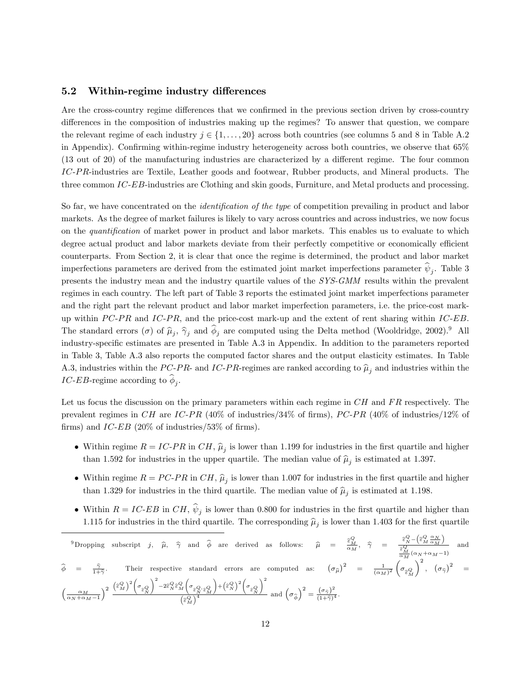#### 5.2 Within-regime industry differences

Are the cross-country regime differences that we confirmed in the previous section driven by cross-country differences in the composition of industries making up the regimes? To answer that question, we compare the relevant regime of each industry  $j \in \{1, \ldots, 20\}$  across both countries (see columns 5 and 8 in Table A.2 in Appendix). Confirming within-regime industry heterogeneity across both countries, we observe that 65%  $(13 \text{ out of } 20)$  of the manufacturing industries are characterized by a different regime. The four common IC-PR-industries are Textile, Leather goods and footwear, Rubber products, and Mineral products. The three common IC-EB-industries are Clothing and skin goods, Furniture, and Metal products and processing.

So far, we have concentrated on the *identification of the type* of competition prevailing in product and labor markets. As the degree of market failures is likely to vary across countries and across industries, we now focus on the quantification of market power in product and labor markets. This enables us to evaluate to which degree actual product and labor markets deviate from their perfectly competitive or economically efficient counterparts. From Section 2, it is clear that once the regime is determined, the product and labor market imperfections parameters are derived from the estimated joint market imperfections parameter  $\psi_j$ . Table 3 presents the industry mean and the industry quartile values of the SYS-GMM results within the prevalent regimes in each country. The left part of Table 3 reports the estimated joint market imperfections parameter and the right part the relevant product and labor market imperfection parameters, i.e. the price-cost markup within  $PC-PR$  and  $IC-PR$ , and the price-cost mark-up and the extent of rent sharing within  $IC-EB$ . The standard errors  $(\sigma)$  of  $\hat{\mu}_j$ ,  $\hat{\gamma}_j$  and  $\hat{\phi}_j$  are computed using the Delta method (Wooldridge, 2002).<sup>9</sup> All industry-specific estimates are presented in Table A.3 in Appendix. In addition to the parameters reported in Table 3, Table A.3 also reports the computed factor shares and the output elasticity estimates. In Table A.3, industries within the PC-PR- and IC-PR-regimes are ranked according to  $\hat{\mu}_j$  and industries within the IC-EB-regime according to  $\phi_j$ .

Let us focus the discussion on the primary parameters within each regime in  $CH$  and  $FR$  respectively. The prevalent regimes in CH are IC-PR (40% of industries/34% of firms),  $PC-PR$  (40% of industries/12% of firms) and IC-EB (20% of industries/53% of firms).

- Within regime  $R = IC$ - $PR$  in  $CH$ ,  $\hat{\mu}_j$  is lower than 1.199 for industries in the first quartile and higher than 1.592 for industries in the upper quartile. The median value of  $\hat{\mu}_j$  is estimated at 1.397.
- Within regime  $R = PC-PR$  in  $CH$ ,  $\hat{\mu}_j$  is lower than 1.007 for industries in the first quartile and higher than 1.329 for industries in the third quartile. The median value of  $\hat{\mu}_j$  is estimated at 1.198.
- Within  $R = IC$ -EB in CH,  $\psi_j$  is lower than 0.800 for industries in the first quartile and higher than 1.115 for industries in the third quartile. The corresponding  $\hat{\mu}_j$  is lower than 1.403 for the first quartile

$$
{}^{9}
$$
 Dropping subscript *j*,  $\hat{\mu}$ ,  $\hat{\gamma}$  and  $\hat{\phi}$  are derived as follows:  $\hat{\mu} = \frac{\hat{\epsilon}_{M}^{Q}}{\alpha_{M}}, \hat{\gamma} = \frac{\hat{\epsilon}_{N}^{Q} - (\hat{\epsilon}_{M}^{Q} \frac{\alpha_{N}}{\alpha_{M}})}{\frac{\hat{\epsilon}_{M}^{Q}}{\alpha_{M}} (\alpha_{N} + \alpha_{M} - 1)}$  and  $\hat{\phi} = \frac{\hat{\gamma}}{1 + \hat{\gamma}}$ . Their respective standard errors are computed as:  $(\sigma_{\hat{\mu}})^{2} = \frac{1}{(\alpha_{M})^{2}} \left(\frac{\sigma_{\hat{\epsilon}_{M}}^{Q}}{\alpha_{M}}\right)^{2}, (\sigma_{\hat{\gamma}})^{2} = \left(\frac{\alpha_{M}}{\alpha_{M} + \alpha_{M} - 1}\right)^{2} \frac{\left(\hat{\epsilon}_{M}^{Q}\right)^{2} \left(\sigma_{\hat{\epsilon}_{N}^{Q}}\right)^{2} - 2\hat{\epsilon}_{N}^{Q} \hat{\epsilon}_{M}^{Q}\left(\sigma_{\hat{\epsilon}_{N}^{Q}}\right) + \left(\hat{\epsilon}_{N}^{Q}\right)^{2} \left(\sigma_{\hat{\epsilon}_{N}^{Q}}\right)^{2}}{\left(\hat{\epsilon}_{M}^{Q}\right)^{4}}$  and  $\left(\sigma_{\hat{\phi}}\right)^{2} = \frac{(\sigma_{\hat{\gamma}})^{2}}{(1 + \hat{\gamma})^{4}}$ .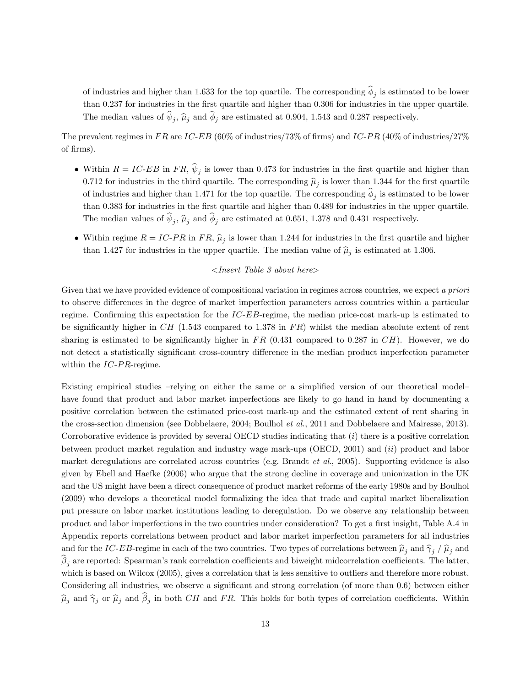of industries and higher than 1.633 for the top quartile. The corresponding  $\phi_j$  is estimated to be lower than 0.237 for industries in the first quartile and higher than 0.306 for industries in the upper quartile. The median values of  $\psi_j$ ,  $\hat{\mu}_j$  and  $\phi_j$  are estimated at 0.904, 1.543 and 0.287 respectively.

The prevalent regimes in FR are IC-EB (60% of industries/73% of firms) and IC-PR (40% of industries/27%) of firms).

- Within  $R = IC$ -EB in FR,  $\psi_j$  is lower than 0.473 for industries in the first quartile and higher than 0.712 for industries in the third quartile. The corresponding  $\hat{\mu}_j$  is lower than 1.344 for the first quartile of industries and higher than 1.471 for the top quartile. The corresponding  $\phi_j$  is estimated to be lower than 0.383 for industries in the first quartile and higher than 0.489 for industries in the upper quartile. The median values of  $\psi_j$ ,  $\hat{\mu}_j$  and  $\phi_j$  are estimated at 0.651, 1.378 and 0.431 respectively.
- Within regime  $R = IC$ - $PR$  in  $FR$ ,  $\hat{\mu}_j$  is lower than 1.244 for industries in the first quartile and higher than 1.427 for industries in the upper quartile. The median value of  $\hat{\mu}_j$  is estimated at 1.306.

#### <Insert Table 3 about here>

Given that we have provided evidence of compositional variation in regimes across countries, we expect a priori to observe differences in the degree of market imperfection parameters across countries within a particular regime. Confirming this expectation for the  $IC-EB$ -regime, the median price-cost mark-up is estimated to be significantly higher in  $CH$  (1.543 compared to 1.378 in  $FR$ ) whilst the median absolute extent of rent sharing is estimated to be significantly higher in  $FR$  (0.431 compared to 0.287 in  $CH$ ). However, we do not detect a statistically significant cross-country difference in the median product imperfection parameter within the  $IC-PR$ -regime.

Existing empirical studies  $-$ relying on either the same or a simplified version of our theoretical modelhave found that product and labor market imperfections are likely to go hand in hand by documenting a positive correlation between the estimated price-cost mark-up and the estimated extent of rent sharing in the cross-section dimension (see Dobbelaere, 2004; Boulhol *et al.*, 2011 and Dobbelaere and Mairesse, 2013). Corroborative evidence is provided by several OECD studies indicating that (i) there is a positive correlation between product market regulation and industry wage mark-ups (OECD, 2001) and (ii) product and labor market deregulations are correlated across countries (e.g. Brandt et al., 2005). Supporting evidence is also given by Ebell and Haefke (2006) who argue that the strong decline in coverage and unionization in the UK and the US might have been a direct consequence of product market reforms of the early 1980s and by Boulhol (2009) who develops a theoretical model formalizing the idea that trade and capital market liberalization put pressure on labor market institutions leading to deregulation. Do we observe any relationship between product and labor imperfections in the two countries under consideration? To get a first insight, Table A.4 in Appendix reports correlations between product and labor market imperfection parameters for all industries and for the IC-EB-regime in each of the two countries. Two types of correlations between  $\hat{\mu}_i$  and  $\hat{\gamma}_i / \hat{\mu}_i$  and  $\beta_j$  are reported: Spearman's rank correlation coefficients and biweight midcorrelation coefficients. The latter, which is based on Wilcox (2005), gives a correlation that is less sensitive to outliers and therefore more robust. Considering all industries, we observe a significant and strong correlation (of more than 0.6) between either  $\hat{\mu}_j$  and  $\hat{\gamma}_j$  or  $\hat{\mu}_j$  and  $\beta_j$  in both  $CH$  and FR. This holds for both types of correlation coefficients. Within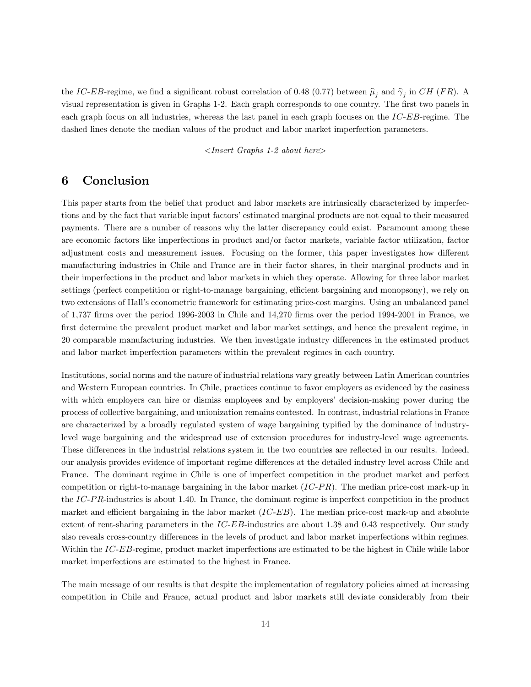the IC-EB-regime, we find a significant robust correlation of 0.48 (0.77) between  $\hat{\mu}_j$  and  $\hat{\gamma}_j$  in CH (FR). A visual representation is given in Graphs 1-2. Each graph corresponds to one country. The first two panels in each graph focus on all industries, whereas the last panel in each graph focuses on the IC-EB-regime. The dashed lines denote the median values of the product and labor market imperfection parameters.

 $\langle$ Insert Graphs 1-2 about here $\rangle$ 

### 6 Conclusion

This paper starts from the belief that product and labor markets are intrinsically characterized by imperfections and by the fact that variable input factors' estimated marginal products are not equal to their measured payments. There are a number of reasons why the latter discrepancy could exist. Paramount among these are economic factors like imperfections in product and/or factor markets, variable factor utilization, factor adjustment costs and measurement issues. Focusing on the former, this paper investigates how different manufacturing industries in Chile and France are in their factor shares, in their marginal products and in their imperfections in the product and labor markets in which they operate. Allowing for three labor market settings (perfect competition or right-to-manage bargaining, efficient bargaining and monopsony), we rely on two extensions of Hall's econometric framework for estimating price-cost margins. Using an unbalanced panel of 1,737 Örms over the period 1996-2003 in Chile and 14,270 Örms over the period 1994-2001 in France, we first determine the prevalent product market and labor market settings, and hence the prevalent regime, in 20 comparable manufacturing industries. We then investigate industry differences in the estimated product and labor market imperfection parameters within the prevalent regimes in each country.

Institutions, social norms and the nature of industrial relations vary greatly between Latin American countries and Western European countries. In Chile, practices continue to favor employers as evidenced by the easiness with which employers can hire or dismiss employees and by employers' decision-making power during the process of collective bargaining, and unionization remains contested. In contrast, industrial relations in France are characterized by a broadly regulated system of wage bargaining typified by the dominance of industrylevel wage bargaining and the widespread use of extension procedures for industry-level wage agreements. These differences in the industrial relations system in the two countries are reflected in our results. Indeed, our analysis provides evidence of important regime differences at the detailed industry level across Chile and France. The dominant regime in Chile is one of imperfect competition in the product market and perfect competition or right-to-manage bargaining in the labor market  $(IC-PR)$ . The median price-cost mark-up in the  $IC-PR$ -industries is about 1.40. In France, the dominant regime is imperfect competition in the product market and efficient bargaining in the labor market  $(IC-EB)$ . The median price-cost mark-up and absolute extent of rent-sharing parameters in the  $IC-EB$ -industries are about 1.38 and 0.43 respectively. Our study also reveals cross-country differences in the levels of product and labor market imperfections within regimes. Within the IC-EB-regime, product market imperfections are estimated to be the highest in Chile while labor market imperfections are estimated to the highest in France.

The main message of our results is that despite the implementation of regulatory policies aimed at increasing competition in Chile and France, actual product and labor markets still deviate considerably from their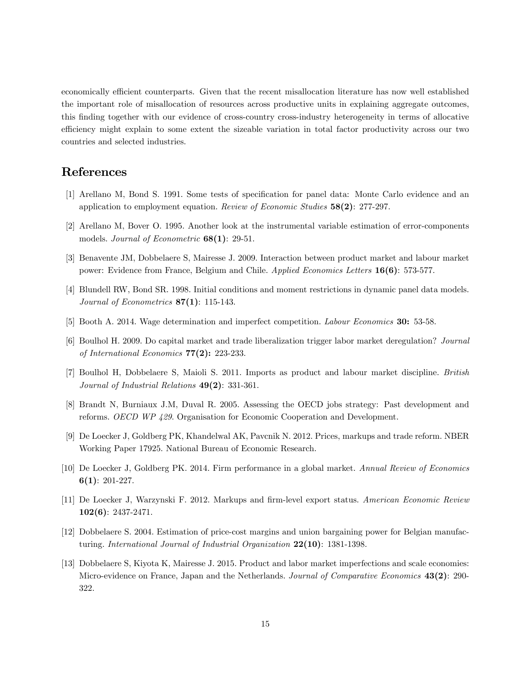economically efficient counterparts. Given that the recent misallocation literature has now well established the important role of misallocation of resources across productive units in explaining aggregate outcomes, this Önding together with our evidence of cross-country cross-industry heterogeneity in terms of allocative efficiency might explain to some extent the sizeable variation in total factor productivity across our two countries and selected industries.

### References

- [1] Arellano M, Bond S. 1991. Some tests of speciÖcation for panel data: Monte Carlo evidence and an application to employment equation. Review of Economic Studies  $58(2)$ : 277-297.
- [2] Arellano M, Bover O. 1995. Another look at the instrumental variable estimation of error-components models. Journal of Econometric 68(1): 29-51.
- [3] Benavente JM, Dobbelaere S, Mairesse J. 2009. Interaction between product market and labour market power: Evidence from France, Belgium and Chile. Applied Economics Letters 16(6): 573-577.
- [4] Blundell RW, Bond SR. 1998. Initial conditions and moment restrictions in dynamic panel data models. Journal of Econometrics  $87(1)$ : 115-143.
- [5] Booth A. 2014. Wage determination and imperfect competition. Labour Economics 30: 53-58.
- [6] Boulhol H. 2009. Do capital market and trade liberalization trigger labor market deregulation? Journal of International Economics 77(2): 223-233.
- [7] Boulhol H, Dobbelaere S, Maioli S. 2011. Imports as product and labour market discipline. British Journal of Industrial Relations 49(2): 331-361.
- [8] Brandt N, Burniaux J.M, Duval R. 2005. Assessing the OECD jobs strategy: Past development and reforms. OECD WP 429. Organisation for Economic Cooperation and Development.
- [9] De Loecker J, Goldberg PK, Khandelwal AK, Pavcnik N. 2012. Prices, markups and trade reform. NBER Working Paper 17925. National Bureau of Economic Research.
- [10] De Loecker J, Goldberg PK. 2014. Firm performance in a global market. Annual Review of Economics  $6(1): 201-227.$
- [11] De Loecker J, Warzynski F. 2012. Markups and Örm-level export status. American Economic Review 102(6): 2437-2471.
- [12] Dobbelaere S. 2004. Estimation of price-cost margins and union bargaining power for Belgian manufacturing. International Journal of Industrial Organization  $22(10)$ : 1381-1398.
- [13] Dobbelaere S, Kiyota K, Mairesse J. 2015. Product and labor market imperfections and scale economies: Micro-evidence on France, Japan and the Netherlands. Journal of Comparative Economics 43(2): 290-322.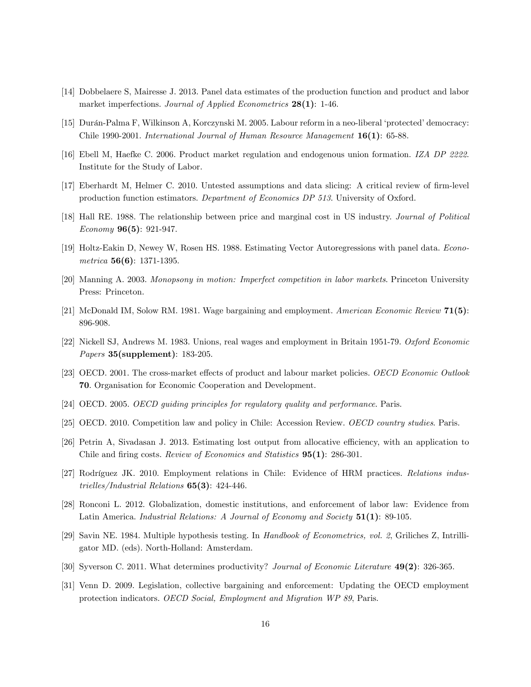- [14] Dobbelaere S, Mairesse J. 2013. Panel data estimates of the production function and product and labor market imperfections. Journal of Applied Econometrics  $28(1)$ : 1-46.
- [15] Durán-Palma F, Wilkinson A, Korczynski M. 2005. Labour reform in a neo-liberal 'protected' democracy: Chile 1990-2001. International Journal of Human Resource Management  $16(1)$ : 65-88.
- [16] Ebell M, Haefke C. 2006. Product market regulation and endogenous union formation. IZA DP 2222. Institute for the Study of Labor.
- [17] Eberhardt M, Helmer C. 2010. Untested assumptions and data slicing: A critical review of firm-level production function estimators. Department of Economics DP 513. University of Oxford.
- [18] Hall RE. 1988. The relationship between price and marginal cost in US industry. Journal of Political Economy 96(5): 921-947.
- [19] Holtz-Eakin D, Newey W, Rosen HS. 1988. Estimating Vector Autoregressions with panel data. Econometrica  $56(6)$ : 1371-1395.
- [20] Manning A. 2003. Monopsony in motion: Imperfect competition in labor markets. Princeton University Press: Princeton.
- [21] McDonald IM, Solow RM. 1981. Wage bargaining and employment. American Economic Review 71(5): 896-908.
- [22] Nickell SJ, Andrews M. 1983. Unions, real wages and employment in Britain 1951-79. Oxford Economic Papers 35(supplement): 183-205.
- [23] OECD. 2001. The cross-market effects of product and labour market policies. OECD Economic Outlook 70. Organisation for Economic Cooperation and Development.
- [24] OECD. 2005. OECD guiding principles for regulatory quality and performance. Paris.
- [25] OECD. 2010. Competition law and policy in Chile: Accession Review. OECD country studies. Paris.
- [26] Petrin A, Sivadasan J. 2013. Estimating lost output from allocative efficiency, with an application to Chile and firing costs. Review of Economics and Statistics  $95(1)$ : 286-301.
- [27] Rodríguez JK. 2010. Employment relations in Chile: Evidence of HRM practices. Relations industrielles/Industrial Relations 65(3): 424-446.
- [28] Ronconi L. 2012. Globalization, domestic institutions, and enforcement of labor law: Evidence from Latin America. *Industrial Relations: A Journal of Economy and Society*  $51(1)$ : 89-105.
- [29] Savin NE. 1984. Multiple hypothesis testing. In Handbook of Econometrics, vol. 2, Griliches Z, Intrilligator MD. (eds). North-Holland: Amsterdam.
- [30] Syverson C. 2011. What determines productivity? Journal of Economic Literature 49(2): 326-365.
- [31] Venn D. 2009. Legislation, collective bargaining and enforcement: Updating the OECD employment protection indicators. OECD Social, Employment and Migration WP 89, Paris.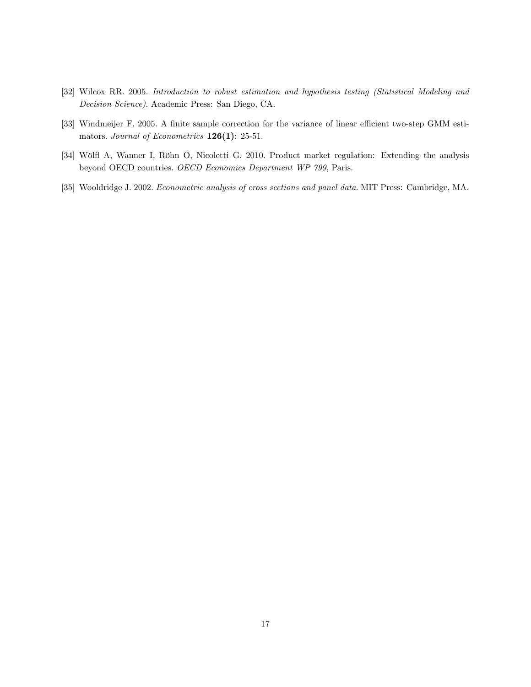- [32] Wilcox RR. 2005. Introduction to robust estimation and hypothesis testing (Statistical Modeling and Decision Science). Academic Press: San Diego, CA.
- [33] Windmeijer F. 2005. A finite sample correction for the variance of linear efficient two-step GMM estimators. Journal of Econometrics 126(1): 25-51.
- [34] Wölft A, Wanner I, Röhn O, Nicoletti G. 2010. Product market regulation: Extending the analysis beyond OECD countries. OECD Economics Department WP 799, Paris.
- [35] Wooldridge J. 2002. Econometric analysis of cross sections and panel data. MIT Press: Cambridge, MA.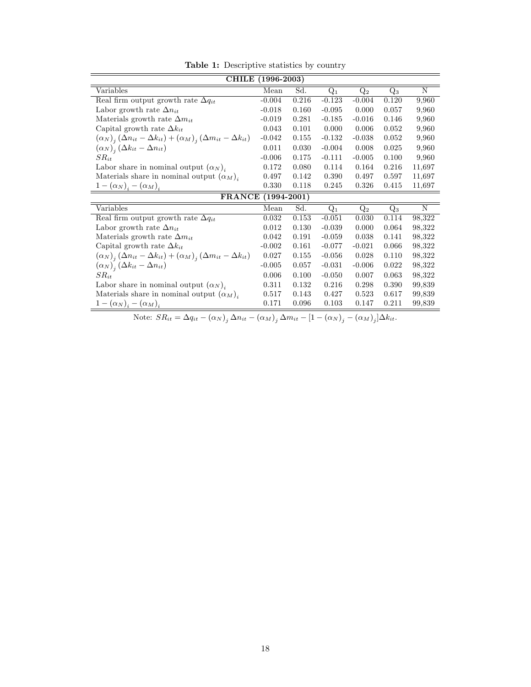| <b>CHILE</b>                                                                                  | $(1996 - 2003)$ |           |          |                |       |        |
|-----------------------------------------------------------------------------------------------|-----------------|-----------|----------|----------------|-------|--------|
| Variables                                                                                     | Mean            | Sd.       | $Q_1$    | $\mathrm{Q}_2$ | $Q_3$ | N      |
| Real firm output growth rate $\Delta q_{it}$                                                  | $-0.004$        | 0.216     | $-0.123$ | $-0.004$       | 0.120 | 9,960  |
| Labor growth rate $\Delta n_{it}$                                                             | $-0.018$        | 0.160     | $-0.095$ | 0.000          | 0.057 | 9,960  |
| Materials growth rate $\Delta m_{it}$                                                         | $-0.019$        | 0.281     | $-0.185$ | $-0.016$       | 0.146 | 9,960  |
| Capital growth rate $\Delta k_{it}$                                                           | 0.043           | 0.101     | 0.000    | 0.006          | 0.052 | 9,960  |
| $(\alpha_N)_i (\Delta n_{it} - \Delta k_{it}) + (\alpha_M)_i (\Delta m_{it} - \Delta k_{it})$ | $-0.042$        | 0.155     | $-0.132$ | $-0.038$       | 0.052 | 9,960  |
| $(\alpha_N)_i (\Delta k_{it} - \Delta n_{it})$                                                | 0.011           | 0.030     | $-0.004$ | 0.008          | 0.025 | 9,960  |
| $SR_{it}$                                                                                     | $-0.006$        | 0.175     | $-0.111$ | $-0.005$       | 0.100 | 9,960  |
| Labor share in nominal output $(\alpha_N)_i$                                                  | 0.172           | 0.080     | 0.114    | 0.164          | 0.216 | 11,697 |
| Materials share in nominal output $(\alpha_M)_i$                                              | 0.497           | 0.142     | 0.390    | 0.497          | 0.597 | 11,697 |
| $1 - (\alpha_N)_i - (\alpha_M)_i$                                                             | 0.330           | 0.118     | 0.245    | 0.326          | 0.415 | 11,697 |
| <b>FRANCE</b> (1994-2001)                                                                     |                 |           |          |                |       |        |
| Variables                                                                                     | Mean            | Sd.       | $Q_1$    | $\mathrm{Q}_2$ | $Q_3$ | N      |
| Real firm output growth rate $\Delta q_{it}$                                                  | 0.032           | 0.153     | $-0.051$ | 0.030          | 0.114 | 98,322 |
| Labor growth rate $\Delta n_{it}$                                                             | 0.012           | 0.130     | $-0.039$ | 0.000          | 0.064 | 98,322 |
| Materials growth rate $\Delta m_{it}$                                                         | 0.042           | 0.191     | $-0.059$ | 0.038          | 0.141 | 98,322 |
| Capital growth rate $\Delta k_{it}$                                                           | $-0.002$        | 0.161     | $-0.077$ | $-0.021$       | 0.066 | 98,322 |
| $(\alpha_N)_i (\Delta n_{it} - \Delta k_{it}) + (\alpha_M)_i (\Delta m_{it} - \Delta k_{it})$ | 0.027           | 0.155     | $-0.056$ | 0.028          | 0.110 | 98,322 |
| $(\alpha_N)_i (\Delta k_{it} - \Delta n_{it})$                                                | $-0.005$        | 0.057     | $-0.031$ | $-0.006$       | 0.022 | 98,322 |
| $SR_{it}$                                                                                     | 0.006           | 0.100     | $-0.050$ | 0.007          | 0.063 | 98,322 |
| Labor share in nominal output $(\alpha_N)_i$                                                  | 0.311           | $0.132\,$ | 0.216    | 0.298          | 0.390 | 99,839 |
| Materials share in nominal output $(\alpha_M)_i$                                              | 0.517           | 0.143     | 0.427    | 0.523          | 0.617 | 99,839 |
| $1 - (\alpha_N)_i - (\alpha_M)_i$                                                             | 0.171           | 0.096     | 0.103    | 0.147          | 0.211 | 99,839 |

Table 1: Descriptive statistics by country

Note:  $SR_{it} = \Delta q_{it} - (\alpha_N)_j \Delta n_{it} - (\alpha_M)_j \Delta m_{it} - [1 - (\alpha_N)_j - (\alpha_M)_j] \Delta k_{it}$ .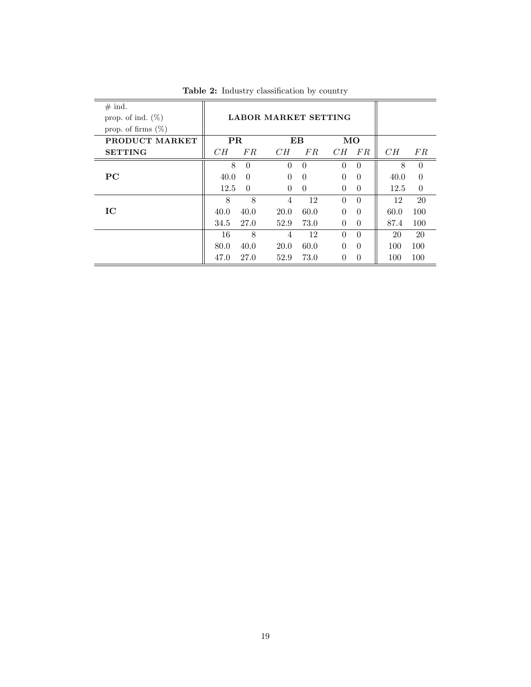| $#$ ind.<br>prop. of ind. $(\%)$<br>prop. of firms $(\%)$ |      | LABOR MARKET SETTING |          |          |          |          |      |          |  |  |
|-----------------------------------------------------------|------|----------------------|----------|----------|----------|----------|------|----------|--|--|
| PRODUCT MARKET                                            | PR   |                      |          | EB       | MО       |          |      |          |  |  |
| <b>SETTING</b>                                            | CH   | FR                   | CH       | FR.      | CH       | FR       | CH   | FR.      |  |  |
|                                                           | 8    | $\theta$             | $\Omega$ | $\Omega$ | $\Omega$ | $\Omega$ | 8    | $\Omega$ |  |  |
| $_{\rm PC}$                                               | 40.0 | $\Omega$             | $\Omega$ | $\Omega$ | $\Omega$ | $\Omega$ | 40.0 | $\Omega$ |  |  |
|                                                           | 12.5 | $\Omega$             | $\Omega$ | $\theta$ | $\Omega$ | $\Omega$ | 12.5 | $\Omega$ |  |  |
|                                                           | 8    | 8                    | 4        | 12       | $\Omega$ | $\Omega$ | 12   | 20       |  |  |
| IC                                                        | 40.0 | 40.0                 | 20.0     | 60.0     | $\Omega$ | $\Omega$ | 60.0 | 100      |  |  |
|                                                           | 34.5 | 27.0                 | 52.9     | 73.0     | $\Omega$ | $\Omega$ | 87.4 | 100      |  |  |
|                                                           | 16   | 8                    | 4        | 12       | $\Omega$ | $\Omega$ | 20   | 20       |  |  |
|                                                           | 80.0 | 40.0                 | 20.0     | 60.0     | $\Omega$ | $\Omega$ | 100  | 100      |  |  |
|                                                           | 47.0 | 27.0                 | 52.9     | 73.0     | $\Omega$ | $\Omega$ | 100  | 100      |  |  |

Table 2: Industry classification by country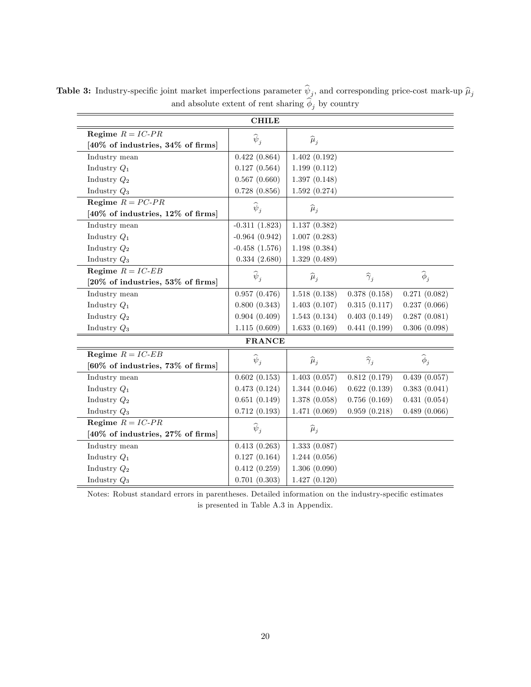|                                      | <b>CHILE</b>       |                   |                        |                    |
|--------------------------------------|--------------------|-------------------|------------------------|--------------------|
| Regime $R = IC-PR$                   | $\widehat{\psi}_j$ | $\widehat{\mu}_j$ |                        |                    |
| [40% of industries, 34% of firms]    |                    |                   |                        |                    |
| Industry mean                        | 0.422(0.864)       | 1.402(0.192)      |                        |                    |
| Industry $Q_1$                       | 0.127(0.564)       | 1.199(0.112)      |                        |                    |
| Industry $Q_2$                       | 0.567(0.660)       | 1.397(0.148)      |                        |                    |
| Industry $Q_3$                       | 0.728(0.856)       | 1.592(0.274)      |                        |                    |
| Regime $R = PC-PR$                   | $\widehat{\psi}_j$ |                   |                        |                    |
| $[40\%$ of industries, 12% of firms] |                    | $\widehat{\mu}_j$ |                        |                    |
| Industry mean                        | $-0.311(1.823)$    | 1.137(0.382)      |                        |                    |
| Industry $Q_1$                       | $-0.964(0.942)$    | 1.007(0.283)      |                        |                    |
| Industry $Q_2$                       | $-0.458(1.576)$    | 1.198(0.384)      |                        |                    |
| Industry $Q_3$                       | 0.334(2.680)       | 1.329(0.489)      |                        |                    |
| Regime $R = IC$ -EB                  | $\widehat{\psi}_j$ |                   | $\widehat{\gamma}_{i}$ | $\widehat{\phi}_j$ |
| $[20\%$ of industries, 53% of firms] |                    | $\widehat{\mu}_j$ |                        |                    |
| Industry mean                        | 0.957(0.476)       | 1.518(0.138)      | 0.378(0.158)           | 0.271(0.082)       |
| Industry $Q_1$                       | 0.800(0.343)       | 1.403(0.107)      | 0.315(0.117)           | 0.237(0.066)       |
| Industry $Q_2$                       | 0.904(0.409)       | 1.543(0.134)      | 0.403(0.149)           | 0.287(0.081)       |
| Industry $Q_3$                       | 1.115(0.609)       | 1.633(0.169)      | 0.441(0.199)           | 0.306(0.098)       |
|                                      | <b>FRANCE</b>      |                   |                        |                    |
| Regime $R = IC$ -EB                  |                    |                   |                        |                    |
| [60% of industries, 73% of firms]    | $\widehat{\psi}_j$ | $\widehat{\mu}_j$ | $\hat{\gamma}_i$       | $\widehat{\phi}_j$ |
| Industry mean                        | 0.602(0.153)       | 1.403(0.057)      | 0.812(0.179)           | 0.439(0.057)       |
| Industry $Q_1$                       | 0.473(0.124)       | 1.344(0.046)      | 0.622(0.139)           | 0.383(0.041)       |
| Industry $Q_2$                       | 0.651(0.149)       | 1.378(0.058)      | 0.756(0.169)           | 0.431(0.054)       |
| Industry $Q_3$                       | 0.712(0.193)       | 1.471(0.069)      | 0.959(0.218)           | 0.489(0.066)       |
| Regime $R = IC$ -PR                  |                    |                   |                        |                    |
| [40% of industries, 27% of firms]    | $\widehat{\psi}_j$ | $\widehat{\mu}_j$ |                        |                    |
| Industry mean                        | 0.413(0.263)       | 1.333(0.087)      |                        |                    |
| Industry $Q_1$                       | 0.127(0.164)       | 1.244(0.056)      |                        |                    |
| Industry $Q_2$                       | 0.412(0.259)       | 1.306(0.090)      |                        |                    |
| Industry $Q_3$                       | 0.701(0.303)       | 1.427(0.120)      |                        |                    |

**Table 3:** Industry-specific joint market imperfections parameter  $\psi_j$ , and corresponding price-cost mark-up  $\hat{\mu}_j$ and absolute extent of rent sharing  $\phi_j$  by country

Notes: Robust standard errors in parentheses. Detailed information on the industry-specific estimates is presented in Table A.3 in Appendix.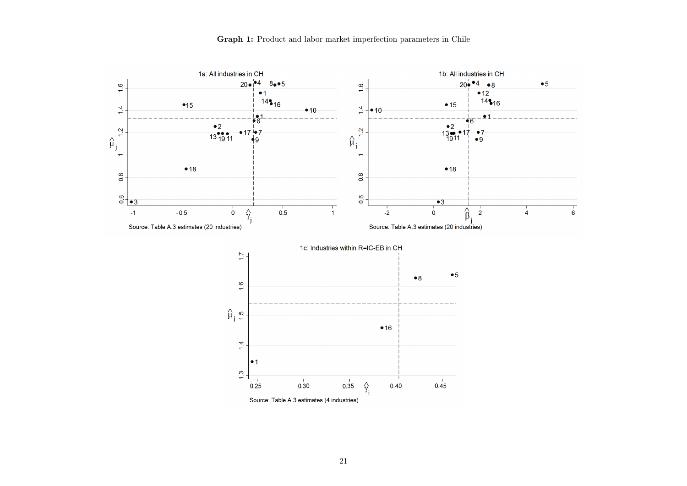

Graph 1: Product and labor market imperfection parameters in Chile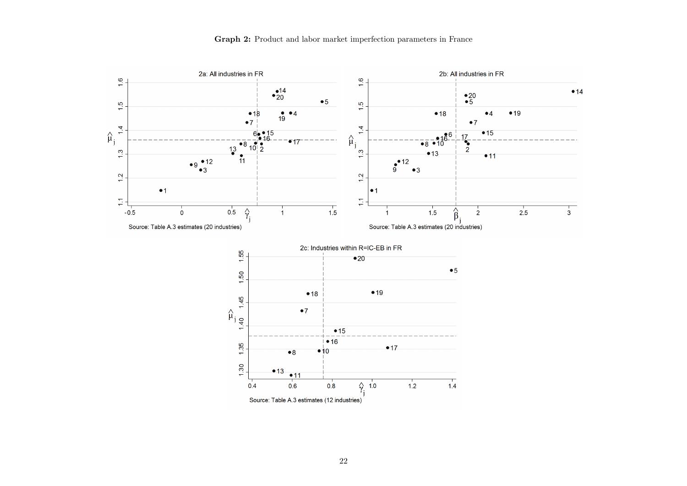

Graph 2: Product and labor market imperfection parameters in France

Source: Table A.3 estimates (12 industries)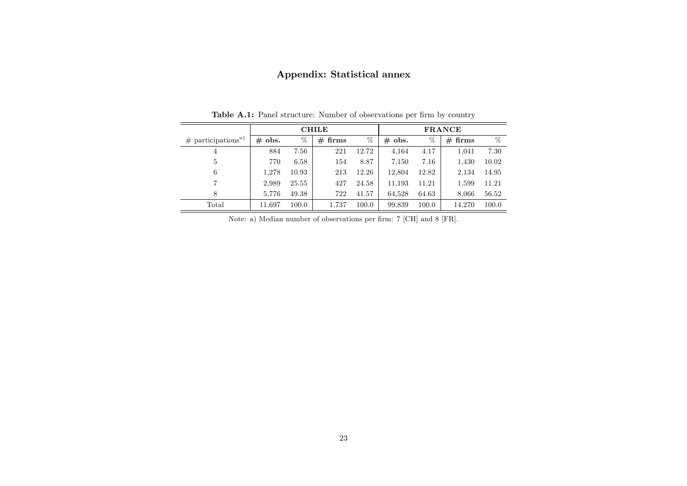### Appendix: Statistical annex

|                                        |          |       | <b>CHILE</b> | <b>FRANCE</b> |           |       |           |       |  |
|----------------------------------------|----------|-------|--------------|---------------|-----------|-------|-----------|-------|--|
| $#$ participations <sup><i>a</i></sup> | $#$ obs. | $\%$  | firms<br>#   | %             | $\#$ obs. | $\%$  | $#$ firms | %     |  |
| 4                                      | 884      | 7.56  | 221          | 12.72         | 4,164     | 4.17  | 1,041     | 7.30  |  |
| 5                                      | 770      | 6.58  | 154          | 8.87          | 7.150     | 7.16  | 1,430     | 10.02 |  |
| 6                                      | 1,278    | 10.93 | 213          | 12.26         | 12,804    | 12.82 | 2,134     | 14.95 |  |
| 7                                      | 2,989    | 25.55 | 427          | 24.58         | 11,193    | 11.21 | 1,599     | 11.21 |  |
| 8                                      | 5,776    | 49.38 | 722          | 41.57         | 64,528    | 64.63 | 8,066     | 56.52 |  |
| Total                                  | 11.697   | 100.0 | 1,737        | 100.0         | 99,839    | 100.0 | 14.270    | 100.0 |  |

Table A.1: Panel structure: Number of observations per firm by country

Note: a) Median number of observations per firm: 7 [CH] and 8 [FR].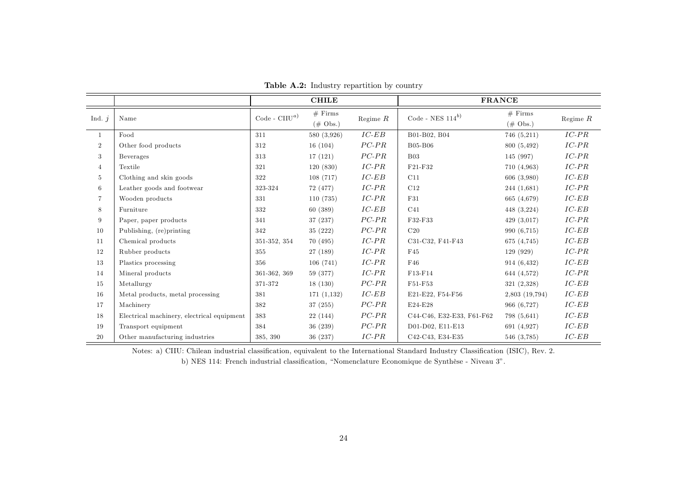|              |                                            |                                                       | CHILE       |             | <b>FRANCE</b>             |                                      |             |  |  |  |
|--------------|--------------------------------------------|-------------------------------------------------------|-------------|-------------|---------------------------|--------------------------------------|-------------|--|--|--|
| Ind. $j$     | Name                                       | $#$ Firms<br>Code - $ClIU^{a)}$<br>$(\# \text{Obs.})$ |             | Regime $R$  | Code - NES $114^{b}$      | $#$ Firms<br>$(\# \; \mathrm{Obs.})$ | Regime $R$  |  |  |  |
| $\mathbf{1}$ | Food                                       | 311                                                   | 580 (3,926) | $IC$ - $EB$ | B01-B02, B04              | 746 (5,211)                          | $IC$ - $PR$ |  |  |  |
| $\sqrt{2}$   | Other food products                        | 312                                                   | 16(104)     | $PC-PR$     | <b>B05-B06</b>            | 800 (5,492)                          | $IC-PR$     |  |  |  |
| 3            | <b>Beverages</b>                           | 313                                                   | 17(121)     | $PC-PR$     | B <sub>03</sub>           | 145 (997)                            | $IC-PR$     |  |  |  |
| 4            | Textile                                    | 321                                                   | 120(830)    | $IC-PR$     | F21-F32                   | 710 (4,963)                          | $IC-PR$     |  |  |  |
| 5            | Clothing and skin goods                    | 322                                                   | 108(717)    | $IC$ - $EB$ | C11                       | 606 (3,980)                          | $IC$ - $EB$ |  |  |  |
| 6            | Leather goods and footwear                 | 323-324                                               | 72 (477)    | $IC$ - $PR$ | C12                       | 244 (1,681)                          | $IC$ - $PR$ |  |  |  |
|              | Wooden products                            | 331                                                   | 110(735)    | $IC-PR$     | F31                       | 665 (4,679)                          | $IC$ - $EB$ |  |  |  |
| 8            | Furniture                                  | 332                                                   | 60 (389)    | $IC$ - $EB$ | C41                       | 448 (3,224)                          | $IC$ - $EB$ |  |  |  |
| 9            | Paper, paper products                      | 341                                                   | 37 (237)    | $PC-PR$     | F32-F33                   | 429(3,017)                           | $IC$ - $PR$ |  |  |  |
| 10           | Publishing, (re)printing                   | 342                                                   | 35(222)     | $PC$ - $PR$ | C20                       | 990 (6,715)                          | $IC$ - $EB$ |  |  |  |
| 11           | Chemical products                          | 351-352, 354                                          | 70 (495)    | $IC$ - $PR$ | C31-C32, F41-F43          | 675 (4,745)                          | $IC$ - $EB$ |  |  |  |
| 12           | Rubber products                            | 355                                                   | 27 (189)    | $IC$ - $PR$ | F45                       | 129 (929)                            | $IC$ - $PR$ |  |  |  |
| 13           | Plastics processing                        | 356                                                   | 106(741)    | $IC-PR$     | F46                       | 914 (6,432)                          | $IC$ - $EB$ |  |  |  |
| 14           | Mineral products                           | 361-362, 369                                          | 59 (377)    | $IC-PR$     | F13-F14                   | 644 (4,572)                          | $IC-PR$     |  |  |  |
| 15           | Metallurgy                                 | 371-372                                               | 18(130)     | $PC$ - $PR$ | F51-F53                   | 321(2,328)                           | $IC$ - $EB$ |  |  |  |
| 16           | Metal products, metal processing           | 381                                                   | 171(1,132)  | $IC$ - $EB$ | E21-E22, F54-F56          | 2,803 (19,794)                       | $IC$ - $EB$ |  |  |  |
| 17           | Machinery                                  | 382                                                   | 37(255)     | $PC-PR$     | E24-E28                   | 966 (6,727)                          | $IC$ - $EB$ |  |  |  |
| 18           | Electrical machinery, electrical equipment | 383                                                   | 22 (144)    | $PC-PR$     | C44-C46, E32-E33, F61-F62 | 798 (5.641)                          | $IC$ - $EB$ |  |  |  |
| 19           | Transport equipment                        | 384                                                   | 36 (239)    | $PC-PR$     | D01-D02, E11-E13          | 691 (4,927)                          | $IC$ - $EB$ |  |  |  |
| 20           | Other manufacturing industries             | 385, 390                                              | 36 (237)    | $IC-PR$     | C42-C43, E34-E35          | 546 (3,785)                          | $IC$ - $EB$ |  |  |  |

Table A.2: Industry repartition by country

Notes: a) CIIU: Chilean industrial classification, equivalent to the International Standard Industry Classification (ISIC), Rev. 2.

b) NES 114: French industrial classification, "Nomenclature Economique de Synthèse - Niveau 3".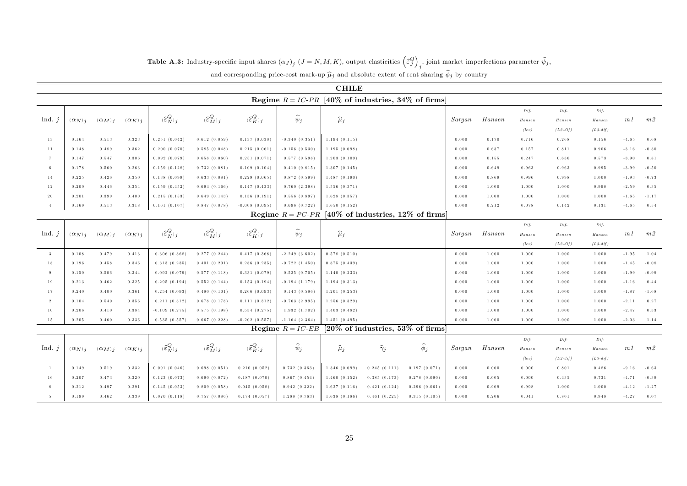Table A.3: Industry-specific input shares  $(\alpha_J)_j$   $(J = N, M, K)$ , output elasticities  $\begin{pmatrix} \hat{\epsilon}_J^Q \end{pmatrix}$ , joint market imperfections parameter  $\psi_j$ ,

|                | <b>CHILE</b>   |                |                   |                                 |                                       |                                 |                                                      |                   |                      |                                      |        |        |         |            |               |                    |                    |
|----------------|----------------|----------------|-------------------|---------------------------------|---------------------------------------|---------------------------------|------------------------------------------------------|-------------------|----------------------|--------------------------------------|--------|--------|---------|------------|---------------|--------------------|--------------------|
|                |                |                |                   |                                 |                                       |                                 | Regime $R = IC-PR$ [40% of industries, 34% of firms] |                   |                      |                                      |        |        |         |            |               |                    |                    |
|                |                |                |                   |                                 |                                       |                                 |                                                      |                   |                      |                                      |        |        | $D$ if- | $D$ if-    | $D$ if-       |                    |                    |
| Ind. $j$       | $(\alpha_N)_j$ | $(\alpha_M)$ i | $(\alpha_K)_j$    | $(\widehat{\varepsilon}^Q_N)_j$ | $(\widehat{\varepsilon}^{Q}_{M})_{j}$ | $(\widehat{\varepsilon}^Q_K)_j$ | $\widehat{\psi}_j$                                   | $\widehat{\mu}_j$ |                      |                                      | Sargan | Hansen | Hansen  | Hansen     | Hansen        | m1                 | $m\mathcal{Z}$     |
|                |                |                |                   |                                 |                                       |                                 |                                                      |                   |                      |                                      |        |        | (lev)   | $(L2-dif)$ | $(L3-dif)$    |                    |                    |
| $1\,3$         | 0.164          | 0.513          | $0\,.3\,2\,3$     | 0.251(0.042)                    | 0.612(0.059)                          | 0.137(0.038)                    | $-0.340(0.351)$                                      | 1.194(0.115)      |                      |                                      | 0.000  | 0.170  | 0.716   | 0.268      | 0.156         | $\sim 4$ . 6 5     | $0\,.6\,8$         |
| 11             | 0.148          | 0.489          | 0.362             | 0.200(0.070)                    | 0.585(0.048)                          | 0.215(0.061)                    | $-0.156(0.530)$                                      | 1.195(0.098)      |                      |                                      | 0.000  | 0.637  | 0.157   | 0.811      | 0.906         | $-3.16$            | $-0.30$            |
| $\overline{7}$ | 0.147          | 0.547          | 0.306             | 0.092(0.079)                    | 0.658(0.060)                          | 0.251(0.071)                    | 0.577(0.598)                                         | 1.203(0.109)      |                      |                                      | 0.000  | 0.155  | 0.247   | 0.636      | 0.573         | $-3.90$            | 0.81               |
| -6             | 0.178          | 0.560          | 0.263             | 0.159(0.128)                    | 0.732(0.081)                          | 0.109(0.104)                    | 0.410(0.815)                                         | 1.307(0.145)      |                      |                                      | 0.000  | 0.649  | 0.963   | 0.963      | $0\,.9\,9\,5$ | $-3.99$            | $\sim 0$ . $5$ $0$ |
| 14             | 0.225          | 0.426          | 0.350             | 0.138(0.099)                    | 0.633(0.081)                          | 0.229(0.065)                    | 0.872(0.599)                                         | 1.487(0.190)      |                      |                                      | 0.000  | 0.869  | 0.996   | 0.998      | 1.000         | $-1.93$            | $-0.73$            |
| 12             | 0.200          | 0.446          | 0.354             | 0.159(0.452)                    | 0.694(0.166)                          | 0.147(0.433)                    | 0.760(2.398)                                         | 1.556(0.371)      |                      |                                      | 0.000  | 1.000  | 1.000   | 1.000      | 0.998         | $-2.59$            | 0.35               |
| 20             | 0.201          | 0.399          | 0.400             | 0.215(0.153)                    | 0.649(0.143)                          | 0.136(0.191)                    | 0.556(0.897)                                         | 1.628(0.357)      |                      |                                      | 0.000  | 1.000  | 1.000   | 1.000      | 1.000         | $\sim\!1$ . $6\,5$ | $-1.17$            |
|                | 0.169          | 0.513          | 0.318             | 0.161(0.107)                    | 0.847(0.078)                          | $-0.008(0.095)$                 | 0.696(0.722)                                         | 1.650(0.152)      |                      |                                      | 0.000  | 0.212  | 0.078   | 0.142      | 0.131         | $-4.65$            | $0.54\,$           |
|                |                |                |                   |                                 |                                       |                                 | Regime $R = PC$ -PR                                  |                   |                      | $[40\%$ of industries, 12\% of firms |        |        |         |            |               |                    |                    |
|                |                |                |                   |                                 |                                       |                                 |                                                      |                   |                      |                                      |        |        | $Dif-$  | $D$ if-    | $D$ if-       |                    |                    |
| Ind. $j$       | $(\alpha_N)_i$ | $(\alpha_M)$ i | $(\alpha_K)_j$    | $(\widehat{\varepsilon}^Q_N)_j$ | $(\widehat{\varepsilon}^{Q}_{M})_{j}$ | $(\widehat{\varepsilon}^Q_K)_j$ | $\widehat{\psi}_j$                                   | $\widehat{\mu}_j$ |                      |                                      | Sargan | Hansen | Hansen  | Hansen     | Hansen        | m1                 | $m\mathcal{Z}$     |
|                |                |                |                   |                                 |                                       |                                 |                                                      |                   |                      |                                      |        |        | (lev)   | $(L2-dif)$ | $(L3-dif)$    |                    |                    |
| $\overline{3}$ | 0.108          | 0.479          | $0\,.4\,1\,3$     | 0.306(0.368)                    | 0.277(0.244)                          | 0.417(0.368)                    | $-2.249(3.602)$                                      | 0.578(0.510)      |                      |                                      | 0.000  | 1.000  | 1.000   | 1.000      | 1.000         | $-1.95$            | $1\,.04$           |
| 18             | 0.196          | 0.458          | 0.346             | 0.313(0.235)                    | 0.401(0.201)                          | 0.286(0.235)                    | $-0.722(1.450)$                                      | 0.875(0.439)      |                      |                                      | 0.000  | 1.000  | 1.000   | 1.000      | 1.000         | $-1.45$            | $\sim 0$ . $0$ 8   |
| -9             | 0.150          | 0.506          | 0.344             | 0.092(0.079)                    | 0.577(0.118)                          | 0.331(0.079)                    | 0.525(0.705)                                         | 1.140(0.233)      |                      |                                      | 0.000  | 1.000  | 1.000   | 1.000      | 1.000         | $-1.99$            | $-0.99$            |
| 19             | 0.213          | 0.462          | 0.325             | 0.295(0.194)                    | 0.552(0.144)                          | 0.153(0.194)                    | $-0.194(1.179)$                                      | 1.194(0.313)      |                      |                                      | 0.000  | 1.000  | 1.000   | 1.000      | 1.000         | $-1.16$            | 0.44               |
| 17             | 0.240          | 0.400          | 0.361             | 0.254(0.093)                    | 0.480(0.101)                          | $0.266$ $(0.093)$               | 0.143(0.586)                                         | 1.201(0.253)      |                      |                                      | 0.000  | 1.000  | 1.000   | 1.000      | 1.000         | $-1.87$            | $-1.68$            |
| $\overline{2}$ | 0.104          | 0.540          | 0.356             | 0.211(0.312)                    | 0.678(0.178)                          | 0.111(0.312)                    | $-0.763(2.995)$                                      | 1.256(0.329)      |                      |                                      | 0.000  | 1.000  | 1.000   | 1.000      | 1.000         | $-2.11$            | $0\,.2\,7$         |
| 10             | 0.206          | 0.410          | 0.384             | $-0.109(0.275)$                 | 0.575(0.198)                          | 0.534(0.275)                    | 1.932(1.702)                                         | 1.403(0.482)      |                      |                                      | 0.000  | 1.000  | 1.000   | 1.000      | 1.000         | $-2.47$            | 0.33               |
| 15             | 0.205          | 0.460          | 0.336             | 0.535(0.557)                    | 0.667(0.228)                          | $-0.202(0.557)$                 | $-1.164(2.364)$                                      | 1.451(0.495)      |                      |                                      | 0.000  | 1.000  | 1.000   | 1.000      | 1.000         | $-2.03$            | 1.14               |
|                |                |                |                   |                                 |                                       |                                 | Regime $R = IC$ -EB                                  |                   |                      | [20% of industries, 53% of firms]    |        |        |         |            |               |                    |                    |
|                |                |                |                   |                                 |                                       |                                 |                                                      |                   |                      |                                      |        |        | $Dif-$  | $D$ if-    | $D$ if-       |                    |                    |
| Ind. $j$       | $(\alpha_N)_i$ | $(\alpha_M)_j$ | $(\alpha_K)_j$    | $(\widehat{\varepsilon}^Q_N)_j$ | $(\widehat{\varepsilon}^{Q}_{M})_{j}$ | $(\widehat{\varepsilon}^Q_K)_j$ | $\widehat{\psi}_j$                                   | $\widehat{\mu}_j$ | $\widehat{\gamma}_j$ | $\widehat{\phi}_j$                   | Sargan | Hansen | Hansen  | Hansen     | Hansen        | m1                 | $m\mathcal{Z}$     |
|                |                |                |                   |                                 |                                       |                                 |                                                      |                   |                      |                                      |        |        | (lev)   | $(L2-dif)$ | $(L3-dif)$    |                    |                    |
| $\mathbf{1}$   | 0.149          | 0.519          | $\,0\,.3\,3\,2\,$ | 0.091(0.046)                    | 0.698(0.051)                          | 0.210(0.052)                    | 0.732(0.363)                                         | 1.346(0.099)      | 0.245(0.111)         | 0.197(0.071)                         | 0.000  | 0.000  | 0.000   | 0.801      | 0.486         | $\sim 9$ . 16      | $\sim 0$ . 63      |
| $1\,6$         | 0.207          | 0.473          | 0.320             | 0.123(0.073)                    | 0.690(0.072)                          | 0.187(0.070)                    | 0.867(0.454)                                         | 1.460(0.152)      | 0.385(0.173)         | 0.278(0.090)                         | 0.000  | 0.005  | 0.000   | 0.435      | 0.731         | $-4.71$            | $-0.39$            |
|                | 0.212          | 0.497          | 0.291             | 0.145(0.053)                    | 0.809(0.058)                          | 0.045(0.058)                    | 0.942(0.322)                                         | 1.627(0.116)      | 0.421(0.124)         | 0.296(0.061)                         | 0.000  | 0.909  | 0.998   | 1.000      | 1.000         | $-4.12$            | $-1.27$            |
|                | 0.199          | 0.462          | 0.339             | 0.070(0.118)                    | 0.757(0.086)                          | 0.174(0.057)                    | 1.288(0.763)                                         | 1.638(0.186)      | 0.461(0.225)         | 0.315(0.105)                         | 0.000  | 0.206  | 0.041   | 0.801      | 0.948         | $-4.27$            | 0.07               |

and corresponding price-cost mark-up  $\widehat{\mu}_j$  and absolute extent of rent sharing  $\phi_j$  by country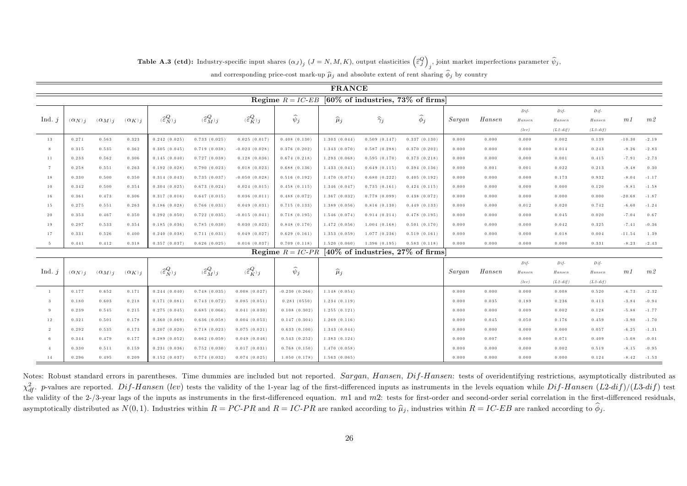Table A.3 (ctd): Industry-specific input shares  $(\alpha_J)_j$  ( $J = N, M, K$ ), output elasticities  $\left(\widehat{\varepsilon}_J^Q\right)$ , joint market imperfections parameter  $\psi_j$ ,

|                |                |                |                |                                   |                                       |                                   |                                                       | <b>FRANCE</b>     |                      |                                      |        |        |         |            |            |          |                |
|----------------|----------------|----------------|----------------|-----------------------------------|---------------------------------------|-----------------------------------|-------------------------------------------------------|-------------------|----------------------|--------------------------------------|--------|--------|---------|------------|------------|----------|----------------|
|                |                |                |                |                                   |                                       |                                   | Regime $R = IC$ -EB [60% of industries, 73% of firms] |                   |                      |                                      |        |        |         |            |            |          |                |
|                |                |                |                |                                   |                                       |                                   |                                                       |                   |                      |                                      |        |        | $D$ if- | $D$ if-    | $D$ if-    |          |                |
| Ind. $j$       | $(\alpha_N)_i$ | $(\alpha_M)$ i | $(\alpha_K)_i$ | $(\widehat{\varepsilon}^{Q}_N)_j$ | $(\widehat{\varepsilon}^{Q}_{M})_{j}$ | $(\widehat{\varepsilon}^{Q}_K)_j$ | $\widehat{\psi}_j$                                    | $\widehat{\mu}_j$ | $\widehat{\gamma}_j$ | $\widehat{\phi}_j$                   | Sargan | Hansen | Hansen  | Hansen     | Hansen     | m1       | m <sub>2</sub> |
|                |                |                |                |                                   |                                       |                                   |                                                       |                   |                      |                                      |        |        | (lev)   | $(L2-dif)$ | $(L3-dif)$ |          |                |
| 13             | 0.271          | 0.563          | 0.323          | 0.242(0.025)                      | 0.733(0.025)                          | 0.025(0.017)                      | 0.408(0.130)                                          | 1.303(0.044)      | 0.509(0.147)         | 0.337(0.130)                         | 0.000  | 0.000  | 0.000   | 0.002      | 0.139      | $-10.30$ | $-2.19$        |
| 8              | 0.315          | 0.535          | 0.362          | 0.305(0.045)                      | 0.719(0.038)                          | $-0.023(0.028)$                   | 0.376(0.202)                                          | 1.343(0.070)      | 0.587(0.288)         | 0.370(0.202)                         | 0.000  | 0.000  | 0.000   | 0.014      | 0.243      | $-9.26$  | $-2.83$        |
| 11             | 0.233          | 0.562          | 0.306          | 0.145(0.040)                      | 0.727(0.038)                          | 0.128(0.036)                      | 0.674(0.218)                                          | 1.293(0.068)      | 0.595(0.170)         | 0.373(0.218)                         | 0.000  | 0.000  | 0.000   | 0.001      | 0.415      | $-7.91$  | $-2.73$        |
| $\overline{7}$ | 0.258          | 0.551          | 0.263          | 0.192(0.028)                      | 0.790(0.023)                          | 0.018(0.023)                      | 0.688(0.136)                                          | 1.433(0.041)      | 0.649(0.115)         | 0.394(0.136)                         | 0.000  | 0.001  | 0.001   | 0.022      | 0.213      | $-9.48$  | 0.30           |
| 18             | 0.330          | 0.500          | 0.350          | 0.314(0.043)                      | 0.735(0.037)                          | $-0.050(0.028)$                   | 0.516(0.192)                                          | 1.470(0.074)      | 0.680(0.222)         | 0.405(0.192)                         | 0.000  | 0.000  | 0.000   | 0.173      | 0.932      | $-8.04$  | $-1.17$        |
| 10             | 0.342          | 0.500          | 0.354          | 0.304(0.025)                      | 0.673(0.024)                          | 0.024(0.015)                      | 0.458(0.115)                                          | 1.346(0.047)      | 0.735(0.161)         | 0.424(0.115)                         | 0.000  | 0.000  | 0.000   | 0.000      | 0.120      | $-9.81$  | $-1.58$        |
| 16             | 0.361          | 0.473          | 0.306          | 0.317(0.016)                      | 0.647(0.015)                          | 0.036(0.011)                      | 0.488(0.072)                                          | 1.367(0.032)      | 0.778(0.099)         | 0.438(0.072)                         | 0.000  | 0.000  | 0.000   | 0.000      | 0.000      | $-20.68$ | $-1.87$        |
| 15             | 0.275          | 0.551          | 0.263          | 0.186(0.028)                      | 0.766(0.031)                          | 0.049(0.031)                      | 0.715(0.133)                                          | 1.389(0.056)      | 0.816(0.130)         | 0.449(0.133)                         | 0.000  | 0.000  | 0.012   | 0.020      | 0.742      | $-6.60$  | $-1.24$        |
| 20             | 0.353          | 0.467          | 0.350          | 0.292(0.050)                      | 0.722(0.035)                          | $-0.015(0.041)$                   | 0.718(0.195)                                          | 1.546(0.074)      | 0.914(0.214)         | 0.478(0.195)                         | 0.000  | 0.000  | 0.000   | 0.045      | 0.020      | $-7.04$  | 0.67           |
| 19             | 0.297          | 0.533          | 0.354          | 0.185(0.036)                      | 0.785(0.030)                          | 0.030(0.023)                      | 0.848(0.170)                                          | 1.472(0.056)      | 1.004(0.168)         | 0.501(0.170)                         | 0.000  | 0.000  | 0.000   | 0.042      | 0.325      | $-7.41$  | $-0.36$        |
| 17             | 0.331          | 0.526          | 0.400          | 0.240(0.038)                      | 0.711(0.031)                          | 0.049(0.027)                      | 0.629(0.161)                                          | 1.353(0.059)      | 1.077(0.236)         | 0.519(0.161)                         | 0.000  | 0.000  | 0.000   | 0.018      | 0.004      | $-11.54$ | 1.39           |
|                | 0.441          | 0.412          | 0.318          | 0.357(0.037)                      | 0.626(0.025)                          | 0.016(0.037)                      | 0.709(0.118)                                          | 1.520(0.060)      | 1.396(0.195)         | 0.583(0.118)                         | 0.000  | 0.000  | 0.000   | 0.000      | 0.331      | $-8.23$  | $-2.43$        |
|                |                |                |                |                                   |                                       |                                   | Regime $R = IC-PR$                                    |                   |                      | $[40\%$ of industries, 27\% of firms |        |        |         |            |            |          |                |
|                |                |                |                |                                   |                                       |                                   |                                                       |                   |                      |                                      |        |        | $D$ if- | $D$ if-    | $D$ if-    |          |                |
| Ind. $j$       | $(\alpha_N)_i$ | $(\alpha_M)$ i | $(\alpha_K)_i$ | $(\widehat{\varepsilon}^{Q}_N)_j$ | $(\widehat{\varepsilon}^{Q}_{M})_{j}$ | $(\widehat{\varepsilon}^{Q}_K)_j$ | $\widehat{\psi}_j$                                    | $\widehat{\mu}_j$ |                      |                                      | Sargan | Hansen | Hansen  | Hansen     | Hansen     | m1       | m <sub>2</sub> |
|                |                |                |                |                                   |                                       |                                   |                                                       |                   |                      |                                      |        |        | (lev)   | $(L2-dif)$ | $(L3-dif)$ |          |                |
| $\mathbf{1}$   | 0.177          | 0.652          | 0.171          | 0.244(0.040)                      | 0.748(0.035)                          | 0.008(0.027)                      | $-0.230(0.266)$                                       | 1.148(0.054)      |                      |                                      | 0.000  | 0.000  | 0.000   | 0.008      | 0.520      | $-6.73$  | $-2.32$        |
| 3              | 0.180          | 0.603          | 0.218          | 0.171(0.081)                      | 0.743(0.072)                          | 0.085(0.051)                      | 0.281(0550)                                           | 1.234(0.119)      |                      |                                      | 0.000  | 0.035  | 0.189   | 0.236      | 0.413      | $-3.84$  | $-0.94$        |
| $\mathbf{Q}$   | 0.239          | 0.545          | 0.215          | 0.275(0.045)                      | 0.685(0.066)                          | 0.041(0.030)                      | 0.108(0.302)                                          | 1.255(0.121)      |                      |                                      | 0.000  | 0.000  | 0.009   | 0.002      | 0.128      | $-5.88$  | $-1.77$        |
| 12             | 0.321          | 0.501          | 0.178          | 0.360(0.069)                      | 0.636(0.058)                          | 0.004(0.053)                      | 0.147(0.304)                                          | 1.269(0.116)      |                      |                                      | 0.000  | 0.045  | 0.050   | 0.176      | 0.459      | $-3.90$  | $-1.70$        |
| $\overline{2}$ | 0.292          | 0.535          | 0.173          | 0.207(0.020)                      | 0.718(0.023)                          | 0.075(0.021)                      | 0.633(0.100)                                          | 1.343(0.044)      |                      |                                      | 0.000  | 0.000  | 0.000   | 0.000      | 0.057      | $-6.25$  | $-1.31$        |
| -6             | 0.344          | 0.479          | 0.177          | 0.289(0.052)                      | 0.662(0.059)                          | 0.049(0.046)                      | 0.543(0.252)                                          | 1.383(0.124)      |                      |                                      | 0.000  | 0.007  | 0.000   | 0.071      | 0.409      | $-5.08$  | $-0.01$        |
|                | 0.330          | 0.511          | 0.159          | 0.231(0.036)                      | 0.752(0.030)                          | 0.017(0.031)                      | 0.768(0.150)                                          | 1.470(0.058)      |                      |                                      | 0.000  | 0.000  | 0.000   | 0.002      | 0.519      | $-8.15$  | $-0.95$        |
| 14             | 0.296          | 0.495          | 0.209          | 0.152(0.037)                      | 0.774(0.032)                          | 0.074(0.025)                      | 1.050(0.178)                                          | 1.563(0.065)      |                      |                                      | 0.000  | 0.000  | 0.000   | 0.000      | 0.124      | $-8.42$  | $-1.53$        |

and corresponding price-cost mark-up  $\hat{\mu}_i$  and absolute extent of rent sharing  $\hat{\phi}_i$  by country

Notes: Robust standard errors in parentheses. Time dummies are included but not reported. Sargan, Hansen, Dif-Hansen: tests of overidentifying restrictions, asymptotically distributed as  $\chi^2_{df}$ . p-values are reported. Dif-Hansen (lev) tests the validity of the 1-year lag of the first-differenced inputs as instruments in the levels equation while Dif-Hansen (L2-dif)/(L3-dif) test the validity of the 2-/3-year lags of the inputs as instruments in the first-differenced equation.  $m1$  and  $m2$ : tests for first-order and second-order serial correlation in the first-differenced residuals, asymptotically distributed as  $N(0, 1)$ . Industries within  $R = PC-PR$  and  $R = IC-PR$  are ranked according to  $\hat{\mu}_j$ , industries within  $R = IC-EB$  are ranked according to  $\hat{\phi}_j$ .